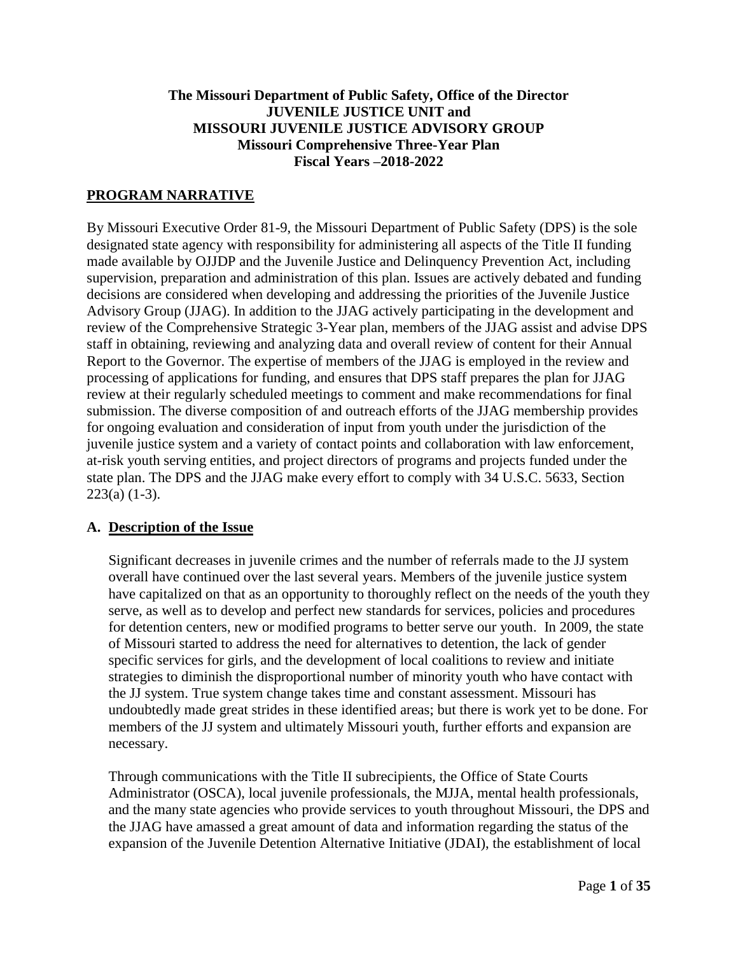#### **The Missouri Department of Public Safety, Office of the Director JUVENILE JUSTICE UNIT and MISSOURI JUVENILE JUSTICE ADVISORY GROUP Missouri Comprehensive Three-Year Plan Fiscal Years –2018-2022**

#### **PROGRAM NARRATIVE**

By Missouri Executive Order 81-9, the Missouri Department of Public Safety (DPS) is the sole designated state agency with responsibility for administering all aspects of the Title II funding made available by OJJDP and the Juvenile Justice and Delinquency Prevention Act, including supervision, preparation and administration of this plan. Issues are actively debated and funding decisions are considered when developing and addressing the priorities of the Juvenile Justice Advisory Group (JJAG). In addition to the JJAG actively participating in the development and review of the Comprehensive Strategic 3-Year plan, members of the JJAG assist and advise DPS staff in obtaining, reviewing and analyzing data and overall review of content for their Annual Report to the Governor. The expertise of members of the JJAG is employed in the review and processing of applications for funding, and ensures that DPS staff prepares the plan for JJAG review at their regularly scheduled meetings to comment and make recommendations for final submission. The diverse composition of and outreach efforts of the JJAG membership provides for ongoing evaluation and consideration of input from youth under the jurisdiction of the juvenile justice system and a variety of contact points and collaboration with law enforcement, at-risk youth serving entities, and project directors of programs and projects funded under the state plan. The DPS and the JJAG make every effort to comply with 34 U.S.C. 5633, Section 223(a) (1-3).

#### **A. Description of the Issue**

Significant decreases in juvenile crimes and the number of referrals made to the JJ system overall have continued over the last several years. Members of the juvenile justice system have capitalized on that as an opportunity to thoroughly reflect on the needs of the youth they serve, as well as to develop and perfect new standards for services, policies and procedures for detention centers, new or modified programs to better serve our youth. In 2009, the state of Missouri started to address the need for alternatives to detention, the lack of gender specific services for girls, and the development of local coalitions to review and initiate strategies to diminish the disproportional number of minority youth who have contact with the JJ system. True system change takes time and constant assessment. Missouri has undoubtedly made great strides in these identified areas; but there is work yet to be done. For members of the JJ system and ultimately Missouri youth, further efforts and expansion are necessary.

Through communications with the Title II subrecipients, the Office of State Courts Administrator (OSCA), local juvenile professionals, the MJJA, mental health professionals, and the many state agencies who provide services to youth throughout Missouri, the DPS and the JJAG have amassed a great amount of data and information regarding the status of the expansion of the Juvenile Detention Alternative Initiative (JDAI), the establishment of local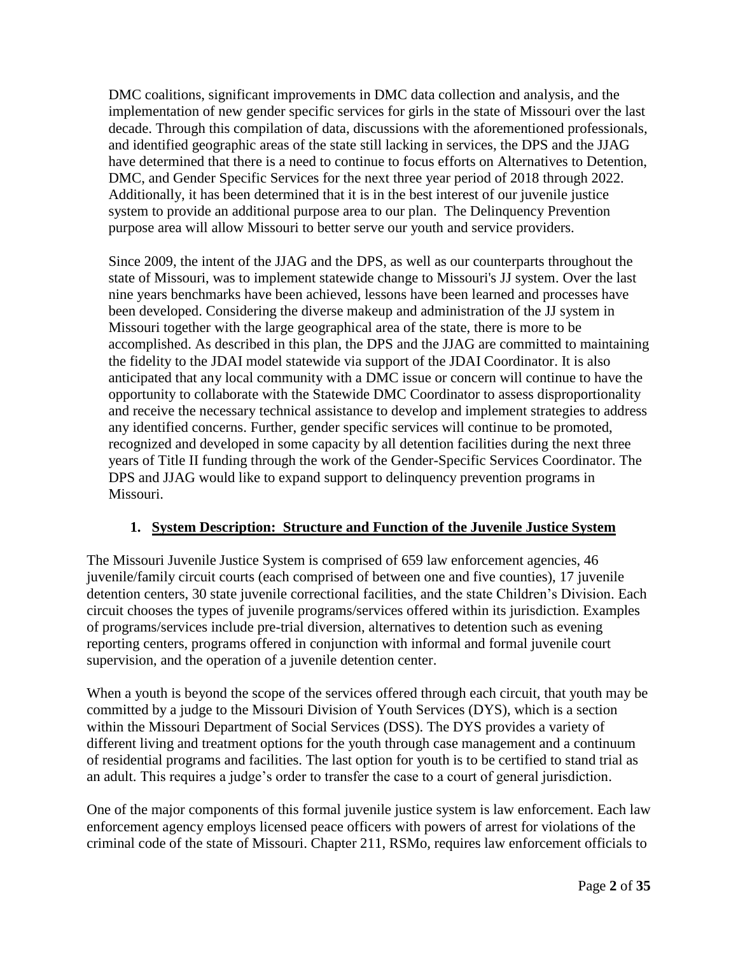DMC coalitions, significant improvements in DMC data collection and analysis, and the implementation of new gender specific services for girls in the state of Missouri over the last decade. Through this compilation of data, discussions with the aforementioned professionals, and identified geographic areas of the state still lacking in services, the DPS and the JJAG have determined that there is a need to continue to focus efforts on Alternatives to Detention, DMC, and Gender Specific Services for the next three year period of 2018 through 2022. Additionally, it has been determined that it is in the best interest of our juvenile justice system to provide an additional purpose area to our plan. The Delinquency Prevention purpose area will allow Missouri to better serve our youth and service providers.

Since 2009, the intent of the JJAG and the DPS, as well as our counterparts throughout the state of Missouri, was to implement statewide change to Missouri's JJ system. Over the last nine years benchmarks have been achieved, lessons have been learned and processes have been developed. Considering the diverse makeup and administration of the JJ system in Missouri together with the large geographical area of the state, there is more to be accomplished. As described in this plan, the DPS and the JJAG are committed to maintaining the fidelity to the JDAI model statewide via support of the JDAI Coordinator. It is also anticipated that any local community with a DMC issue or concern will continue to have the opportunity to collaborate with the Statewide DMC Coordinator to assess disproportionality and receive the necessary technical assistance to develop and implement strategies to address any identified concerns. Further, gender specific services will continue to be promoted, recognized and developed in some capacity by all detention facilities during the next three years of Title II funding through the work of the Gender-Specific Services Coordinator. The DPS and JJAG would like to expand support to delinquency prevention programs in Missouri.

# **1. System Description: Structure and Function of the Juvenile Justice System**

The Missouri Juvenile Justice System is comprised of 659 law enforcement agencies, 46 juvenile/family circuit courts (each comprised of between one and five counties), 17 juvenile detention centers, 30 state juvenile correctional facilities, and the state Children's Division. Each circuit chooses the types of juvenile programs/services offered within its jurisdiction. Examples of programs/services include pre-trial diversion, alternatives to detention such as evening reporting centers, programs offered in conjunction with informal and formal juvenile court supervision, and the operation of a juvenile detention center.

When a youth is beyond the scope of the services offered through each circuit, that youth may be committed by a judge to the Missouri Division of Youth Services (DYS), which is a section within the Missouri Department of Social Services (DSS). The DYS provides a variety of different living and treatment options for the youth through case management and a continuum of residential programs and facilities. The last option for youth is to be certified to stand trial as an adult. This requires a judge's order to transfer the case to a court of general jurisdiction.

One of the major components of this formal juvenile justice system is law enforcement. Each law enforcement agency employs licensed peace officers with powers of arrest for violations of the criminal code of the state of Missouri. Chapter 211, RSMo, requires law enforcement officials to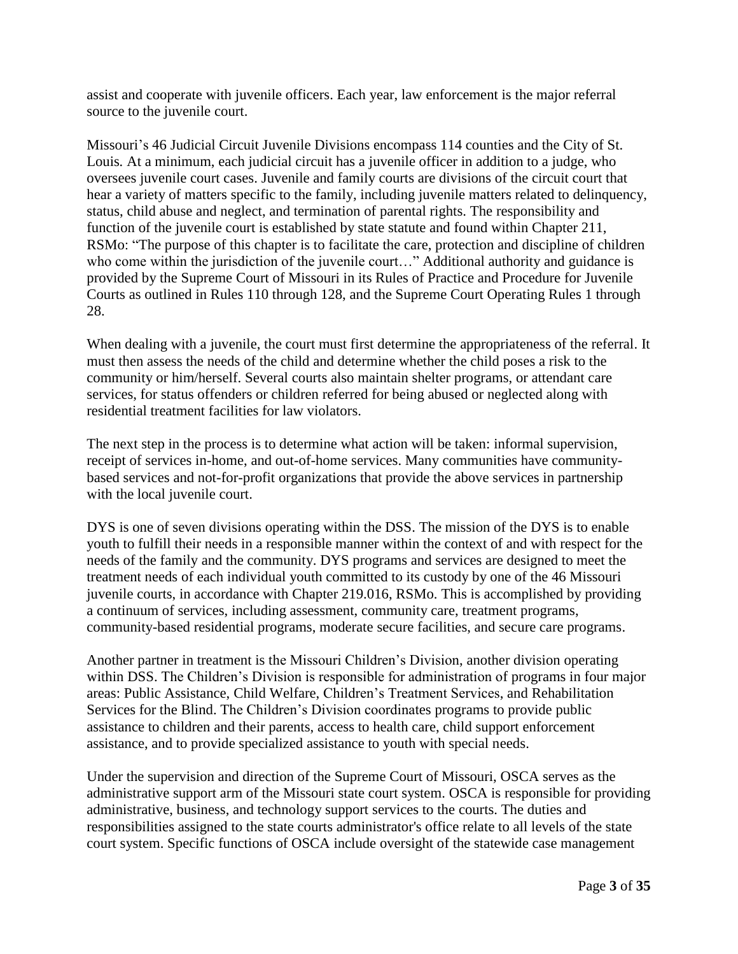assist and cooperate with juvenile officers. Each year, law enforcement is the major referral source to the juvenile court.

Missouri's 46 Judicial Circuit Juvenile Divisions encompass 114 counties and the City of St. Louis*.* At a minimum, each judicial circuit has a juvenile officer in addition to a judge, who oversees juvenile court cases. Juvenile and family courts are divisions of the circuit court that hear a variety of matters specific to the family, including juvenile matters related to delinquency, status, child abuse and neglect, and termination of parental rights. The responsibility and function of the juvenile court is established by state statute and found within Chapter 211, RSMo: "The purpose of this chapter is to facilitate the care, protection and discipline of children who come within the jurisdiction of the juvenile court..." Additional authority and guidance is provided by the Supreme Court of Missouri in its Rules of Practice and Procedure for Juvenile Courts as outlined in Rules 110 through 128, and the Supreme Court Operating Rules 1 through 28.

When dealing with a juvenile, the court must first determine the appropriateness of the referral. It must then assess the needs of the child and determine whether the child poses a risk to the community or him/herself. Several courts also maintain shelter programs, or attendant care services, for status offenders or children referred for being abused or neglected along with residential treatment facilities for law violators.

The next step in the process is to determine what action will be taken: informal supervision, receipt of services in-home, and out-of-home services. Many communities have communitybased services and not-for-profit organizations that provide the above services in partnership with the local juvenile court.

DYS is one of seven divisions operating within the DSS. The mission of the DYS is to enable youth to fulfill their needs in a responsible manner within the context of and with respect for the needs of the family and the community. DYS programs and services are designed to meet the treatment needs of each individual youth committed to its custody by one of the 46 Missouri juvenile courts, in accordance with Chapter 219.016, RSMo. This is accomplished by providing a continuum of services, including assessment, community care, [treatment programs,](http://dss.mo.gov/dys/tserv.htm) community-based residential programs, moderate secure facilities, and secure care programs.

Another partner in treatment is the Missouri Children's Division, another division operating within DSS. The Children's Division is responsible for administration of programs in four major areas: Public Assistance, Child Welfare, Children's Treatment Services, and Rehabilitation Services for the Blind. The Children's Division coordinates programs to provide public assistance to children and their parents, access to health care, child support enforcement assistance, and to provide specialized assistance to youth with special needs.

Under the supervision and direction of the Supreme Court of Missouri, OSCA serves as the administrative support arm of the Missouri state court system. OSCA is responsible for providing administrative, business, and technology support services to the courts. The duties and responsibilities assigned to the state courts administrator's office relate to all levels of the state court system. Specific functions of OSCA include oversight of the statewide case management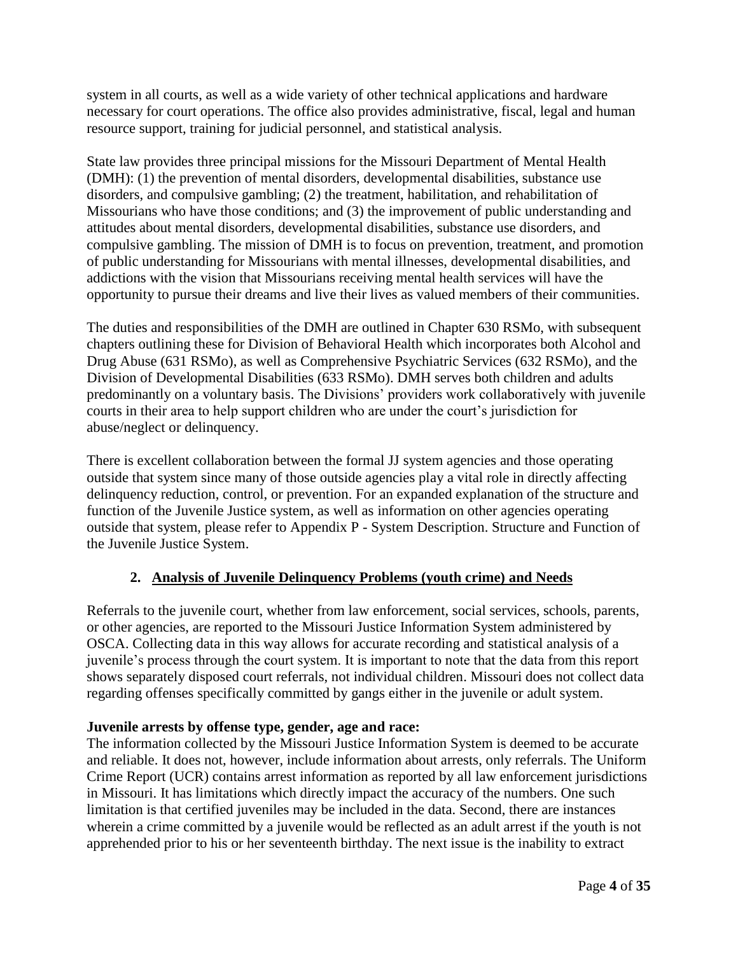system in all courts, as well as a wide variety of other technical applications and hardware necessary for court operations. The office also provides administrative, fiscal, legal and human resource support, training for judicial personnel, and statistical analysis.

State law provides three principal missions for the Missouri Department of Mental Health (DMH): (1) the prevention of mental disorders, developmental disabilities, substance use disorders, and compulsive gambling; (2) the treatment, habilitation, and rehabilitation of Missourians who have those conditions; and (3) the improvement of public understanding and attitudes about mental disorders, developmental disabilities, substance use disorders, and compulsive gambling. The mission of DMH is to focus on prevention, treatment, and promotion of public understanding for Missourians with mental illnesses, developmental disabilities, and addictions with the vision that Missourians receiving mental health services will have the opportunity to pursue their dreams and live their lives as valued members of their communities.

The duties and responsibilities of the DMH are outlined in Chapter 630 RSMo, with subsequent chapters outlining these for Division of Behavioral Health which incorporates both Alcohol and Drug Abuse (631 RSMo), as well as Comprehensive Psychiatric Services (632 RSMo), and the Division of Developmental Disabilities (633 RSMo). DMH serves both children and adults predominantly on a voluntary basis. The Divisions' providers work collaboratively with juvenile courts in their area to help support children who are under the court's jurisdiction for abuse/neglect or delinquency.

There is excellent collaboration between the formal JJ system agencies and those operating outside that system since many of those outside agencies play a vital role in directly affecting delinquency reduction, control, or prevention. For an expanded explanation of the structure and function of the Juvenile Justice system, as well as information on other agencies operating outside that system, please refer to Appendix P - System Description. Structure and Function of the Juvenile Justice System.

# **2. Analysis of Juvenile Delinquency Problems (youth crime) and Needs**

Referrals to the juvenile court, whether from law enforcement, social services, schools, parents, or other agencies, are reported to the Missouri Justice Information System administered by OSCA. Collecting data in this way allows for accurate recording and statistical analysis of a juvenile's process through the court system. It is important to note that the data from this report shows separately disposed court referrals, not individual children. Missouri does not collect data regarding offenses specifically committed by gangs either in the juvenile or adult system.

#### **Juvenile arrests by offense type, gender, age and race:**

The information collected by the Missouri Justice Information System is deemed to be accurate and reliable. It does not, however, include information about arrests, only referrals. The Uniform Crime Report (UCR) contains arrest information as reported by all law enforcement jurisdictions in Missouri. It has limitations which directly impact the accuracy of the numbers. One such limitation is that certified juveniles may be included in the data. Second, there are instances wherein a crime committed by a juvenile would be reflected as an adult arrest if the youth is not apprehended prior to his or her seventeenth birthday. The next issue is the inability to extract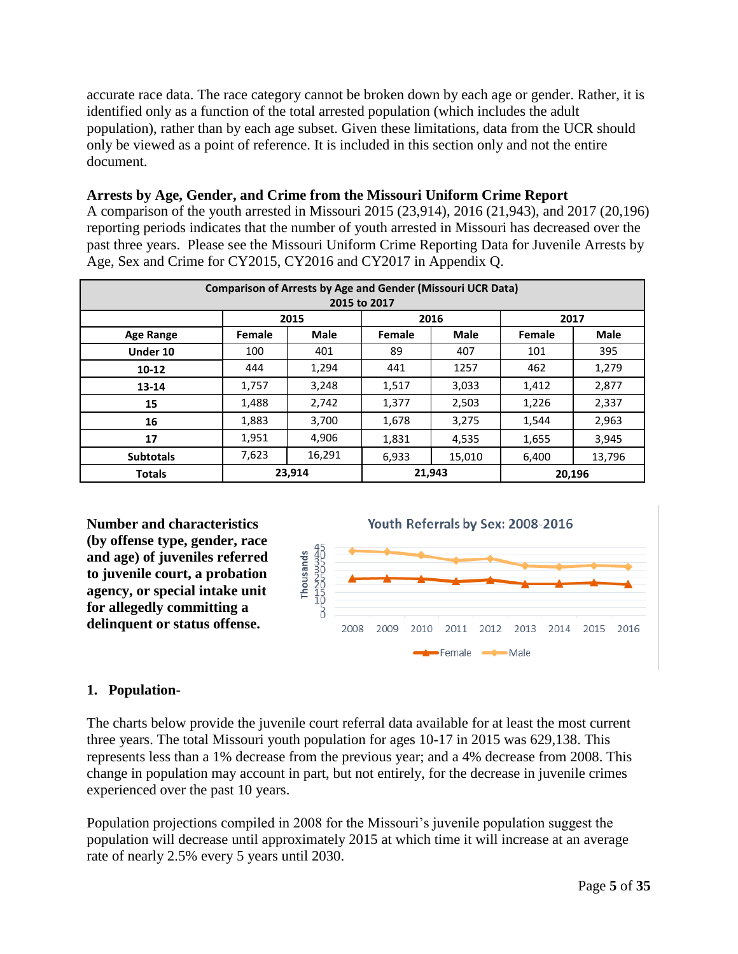accurate race data. The race category cannot be broken down by each age or gender. Rather, it is identified only as a function of the total arrested population (which includes the adult population), rather than by each age subset. Given these limitations, data from the UCR should only be viewed as a point of reference. It is included in this section only and not the entire document.

# **Arrests by Age, Gender, and Crime from the Missouri Uniform Crime Report**

A comparison of the youth arrested in Missouri 2015 (23,914), 2016 (21,943), and 2017 (20,196) reporting periods indicates that the number of youth arrested in Missouri has decreased over the past three years. Please see the Missouri Uniform Crime Reporting Data for Juvenile Arrests by Age, Sex and Crime for CY2015, CY2016 and CY2017 in Appendix Q.

| <b>Comparison of Arrests by Age and Gender (Missouri UCR Data)</b> |        |             |        |             |               |             |  |  |  |  |  |
|--------------------------------------------------------------------|--------|-------------|--------|-------------|---------------|-------------|--|--|--|--|--|
| 2015 to 2017                                                       |        |             |        |             |               |             |  |  |  |  |  |
|                                                                    |        | 2015        |        | 2016        | 2017          |             |  |  |  |  |  |
| <b>Age Range</b>                                                   | Female | <b>Male</b> | Female | <b>Male</b> | <b>Female</b> | <b>Male</b> |  |  |  |  |  |
| Under 10                                                           | 100    | 401         | 89     | 407         | 101           | 395         |  |  |  |  |  |
| $10 - 12$                                                          | 444    | 1,294       | 441    | 1257        | 462           | 1,279       |  |  |  |  |  |
| 13-14                                                              | 1,757  | 3,248       | 1,517  | 3,033       | 1,412         | 2,877       |  |  |  |  |  |
| 15                                                                 | 1,488  | 2,742       | 1,377  | 2,503       | 1,226         | 2,337       |  |  |  |  |  |
| 16                                                                 | 1,883  | 3,700       | 1,678  | 3,275       | 1,544         | 2,963       |  |  |  |  |  |
| 17                                                                 | 1,951  | 4,906       | 1,831  | 4,535       | 1,655         | 3,945       |  |  |  |  |  |
| <b>Subtotals</b>                                                   | 7,623  | 16,291      | 6,933  | 15,010      | 6,400         | 13,796      |  |  |  |  |  |
| <b>Totals</b>                                                      |        | 23,914      |        | 21,943      | 20.196        |             |  |  |  |  |  |

**Number and characteristics (by offense type, gender, race and age) of juveniles referred to juvenile court, a probation agency, or special intake unit for allegedly committing a delinquent or status offense.**



# **1. Population-**

The charts below provide the juvenile court referral data available for at least the most current three years. The total Missouri youth population for ages 10-17 in 2015 was 629,138. This represents less than a 1% decrease from the previous year; and a 4% decrease from 2008. This change in population may account in part, but not entirely, for the decrease in juvenile crimes experienced over the past 10 years.

Population projections compiled in 2008 for the Missouri's juvenile population suggest the population will decrease until approximately 2015 at which time it will increase at an average rate of nearly 2.5% every 5 years until 2030.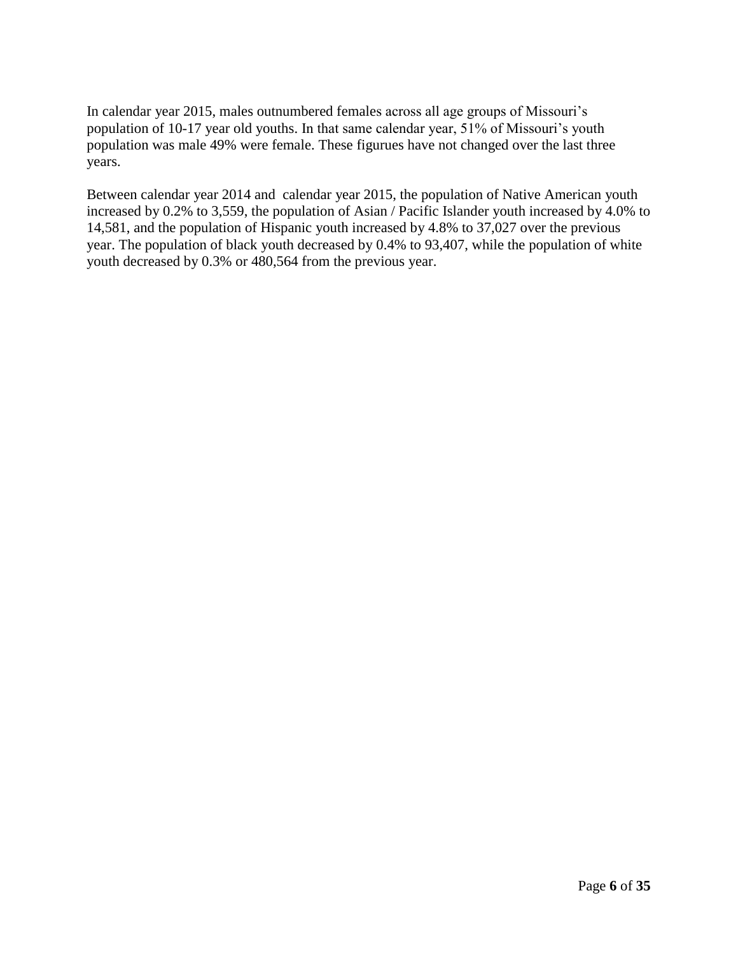In calendar year 2015, males outnumbered females across all age groups of Missouri's population of 10-17 year old youths. In that same calendar year, 51% of Missouri's youth population was male 49% were female. These figurues have not changed over the last three years.

Between calendar year 2014 and calendar year 2015, the population of Native American youth increased by 0.2% to 3,559, the population of Asian / Pacific Islander youth increased by 4.0% to 14,581, and the population of Hispanic youth increased by 4.8% to 37,027 over the previous year. The population of black youth decreased by 0.4% to 93,407, while the population of white youth decreased by 0.3% or 480,564 from the previous year.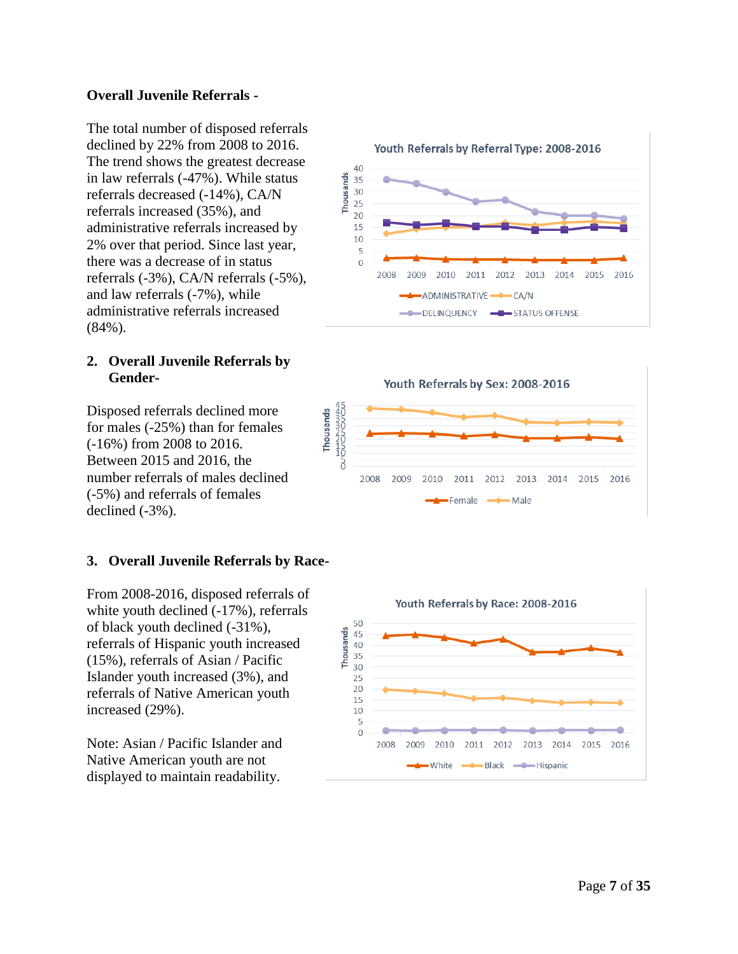#### **Overall Juvenile Referrals -**

The total number of disposed referrals declined by 22% from 2008 to 2016. The trend shows the greatest decrease in law referrals ( -47%). While status referrals decreased ( -14%), CA/N referrals increased (35%), and administrative referrals increased by 2% over that period. Since last year, there was a decrease of in status referrals ( -3%), CA/N referrals ( -5%), and law referrals ( -7%), while administrative referrals increased (84%).

#### **2. Overall Juvenile Referrals by Gender -**

Disposed referrals declined more for males ( -25%) than for females ( -16%) from 2008 to 2016. Between 2015 and 2016, the number referrals of males declined (-5%) and referrals of females declined ( -3%).

#### **3. Overall Juvenile Referrals by Race -**

From 2008 -2016, disposed referrals of white youth declined ( -17%), referrals of black youth declined ( -31%), referrals of Hispanic youth increased (15%), referrals of Asian / Pacific Islander youth increased (3%), and referrals of Native American youth increased (29%).

Note: Asian / Pacific Islander and Native American youth are not displayed to maintain readability.







Youth Referrals by Sex: 2008-2016

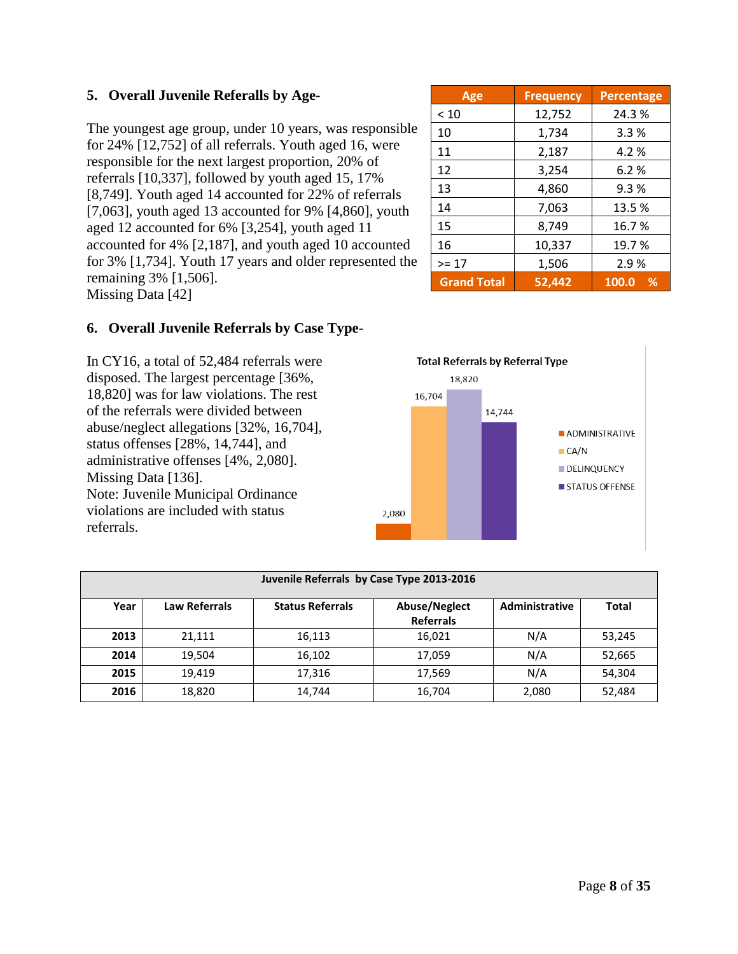|        | Age                | <b>Frequency</b> | <b>Percentage</b> |  |
|--------|--------------------|------------------|-------------------|--|
|        | < 10               | 12,752           | 24.3%             |  |
| isible | 10                 | 1,734            | 3.3%              |  |
| ere    | 11                 | 2,187            | 4.2%              |  |
|        | 12                 | 3,254            | 6.2%              |  |
| als    | 13                 | 4,860            | 9.3%              |  |
| outh   | 14                 | 7,063            | 13.5%             |  |
|        | 15                 | 8,749            | 16.7%             |  |
| nted   | 16                 | 10,337           | 19.7%             |  |
| ed the | $>= 17$            | 1,506            | 2.9%              |  |
|        | <b>Grand Total</b> | 52,442           | 100.0<br>%        |  |

# **5. Overall Juvenile Referalls by Age-**

The youngest age group, under 10 years, was respon for  $24\%$  [12,752] of all referrals. Youth aged 16, were responsible for the next largest proportion, 20% of referrals [10,337], followed by youth aged 15, 17% [8,749]. Youth aged 14 accounted for  $22\%$  of referral [7,063], youth aged 13 accounted for 9% [4,860], youth aged 13 accounted for 9% [4,860], yo aged 12 accounted for 6% [3,254], youth aged 11 accounted for  $4\%$  [2,187], and youth aged 10 account for  $3\%$  [1,734]. Youth 17 years and older represented remaining 3% [1,506]. Missing Data [42]

# **6. Overall Juvenile Referrals by Case Type-**

In CY16, a total of 52,484 referrals were disposed. The largest percentage [36%, 18,820] was for law violations. The rest of the referrals were divided between abuse/neglect allegations [32%, 16,704], status offenses [28%, 14,744], and administrative offenses [4%, 2,080]. Missing Data [136]. Note: Juvenile Municipal Ordinance violations are included with status referrals.



|      | Juvenile Referrals by Case Type 2013-2016 |                         |                                   |                |              |  |  |  |  |  |  |
|------|-------------------------------------------|-------------------------|-----------------------------------|----------------|--------------|--|--|--|--|--|--|
| Year | <b>Law Referrals</b>                      | <b>Status Referrals</b> | Abuse/Neglect<br><b>Referrals</b> | Administrative | <b>Total</b> |  |  |  |  |  |  |
| 2013 | 21,111                                    | 16,113                  | 16,021                            | N/A            | 53,245       |  |  |  |  |  |  |
| 2014 | 19.504                                    | 16,102                  | 17,059                            | N/A            | 52,665       |  |  |  |  |  |  |
| 2015 | 19.419                                    | 17,316                  | 17,569                            | N/A            | 54,304       |  |  |  |  |  |  |
| 2016 | 18,820                                    | 14,744                  | 16,704                            | 2,080          | 52,484       |  |  |  |  |  |  |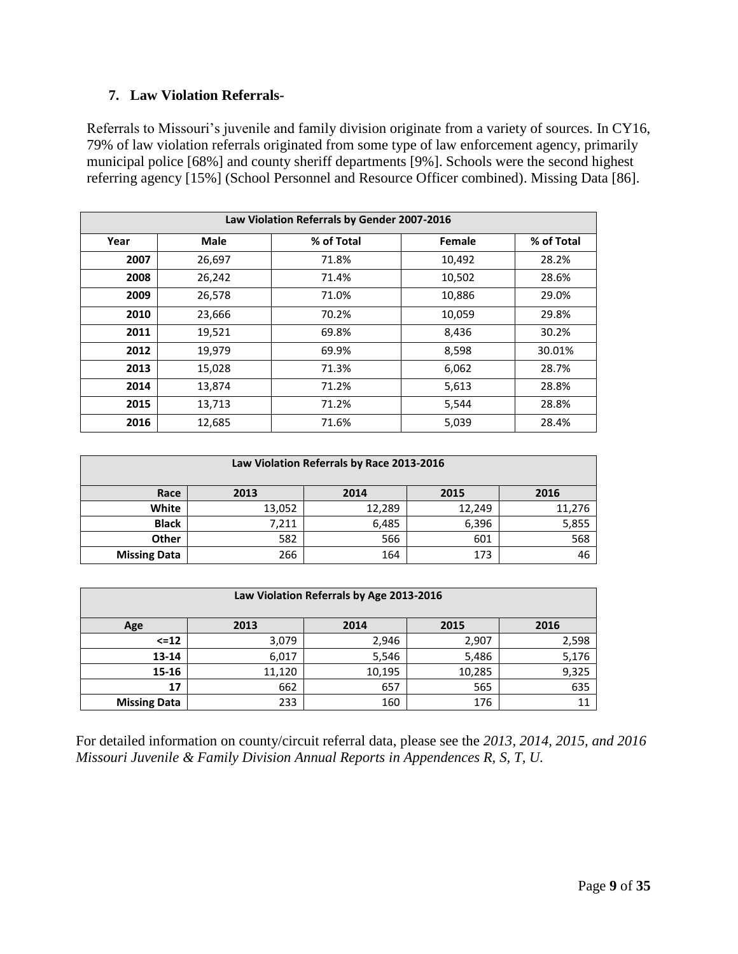#### **7. Law Violation Referrals-**

Referrals to Missouri's juvenile and family division originate from a variety of sources. In CY16, 79% of law violation referrals originated from some type of law enforcement agency, primarily municipal police [68%] and county sheriff departments [9%]. Schools were the second highest referring agency [15%] (School Personnel and Resource Officer combined). Missing Data [86].

| Law Violation Referrals by Gender 2007-2016 |        |            |        |            |  |  |  |  |  |
|---------------------------------------------|--------|------------|--------|------------|--|--|--|--|--|
| Year                                        | Male   | % of Total | Female | % of Total |  |  |  |  |  |
| 2007                                        | 26,697 | 71.8%      | 10,492 | 28.2%      |  |  |  |  |  |
| 2008                                        | 26,242 | 71.4%      | 10,502 | 28.6%      |  |  |  |  |  |
| 2009                                        | 26,578 | 71.0%      | 10,886 | 29.0%      |  |  |  |  |  |
| 2010                                        | 23,666 | 70.2%      | 10,059 | 29.8%      |  |  |  |  |  |
| 2011                                        | 19,521 | 69.8%      | 8,436  | 30.2%      |  |  |  |  |  |
| 2012                                        | 19,979 | 69.9%      | 8,598  | 30.01%     |  |  |  |  |  |
| 2013                                        | 15,028 | 71.3%      | 6,062  | 28.7%      |  |  |  |  |  |
| 2014                                        | 13,874 | 71.2%      | 5,613  | 28.8%      |  |  |  |  |  |
| 2015                                        | 13,713 | 71.2%      | 5,544  | 28.8%      |  |  |  |  |  |
| 2016                                        | 12,685 | 71.6%      | 5,039  | 28.4%      |  |  |  |  |  |

| Law Violation Referrals by Race 2013-2016 |                              |        |        |        |  |  |  |  |  |  |  |
|-------------------------------------------|------------------------------|--------|--------|--------|--|--|--|--|--|--|--|
| Race                                      | 2013<br>2016<br>2014<br>2015 |        |        |        |  |  |  |  |  |  |  |
| White                                     | 13,052                       | 12,289 | 12,249 | 11,276 |  |  |  |  |  |  |  |
| <b>Black</b>                              | 7,211                        | 6,485  | 6,396  | 5,855  |  |  |  |  |  |  |  |
| <b>Other</b>                              | 582                          | 566    | 601    | 568    |  |  |  |  |  |  |  |
| <b>Missing Data</b>                       | 266                          | 164    | 173    | 46     |  |  |  |  |  |  |  |

| Law Violation Referrals by Age 2013-2016 |                              |        |        |       |  |  |  |  |  |  |  |
|------------------------------------------|------------------------------|--------|--------|-------|--|--|--|--|--|--|--|
| Age                                      | 2013<br>2014<br>2015<br>2016 |        |        |       |  |  |  |  |  |  |  |
| $\le$ = 12                               | 3,079                        | 2,946  | 2,907  | 2,598 |  |  |  |  |  |  |  |
| $13 - 14$                                | 6,017                        | 5,546  | 5,486  | 5,176 |  |  |  |  |  |  |  |
| $15 - 16$                                | 11,120                       | 10,195 | 10,285 | 9,325 |  |  |  |  |  |  |  |
| 17                                       | 662                          | 657    | 565    | 635   |  |  |  |  |  |  |  |
| <b>Missing Data</b>                      | 233                          | 160    | 176    |       |  |  |  |  |  |  |  |

For detailed information on county/circuit referral data, please see the *2013, 2014, 2015, and 2016 Missouri Juvenile & Family Division Annual Reports in Appendences R, S, T, U.*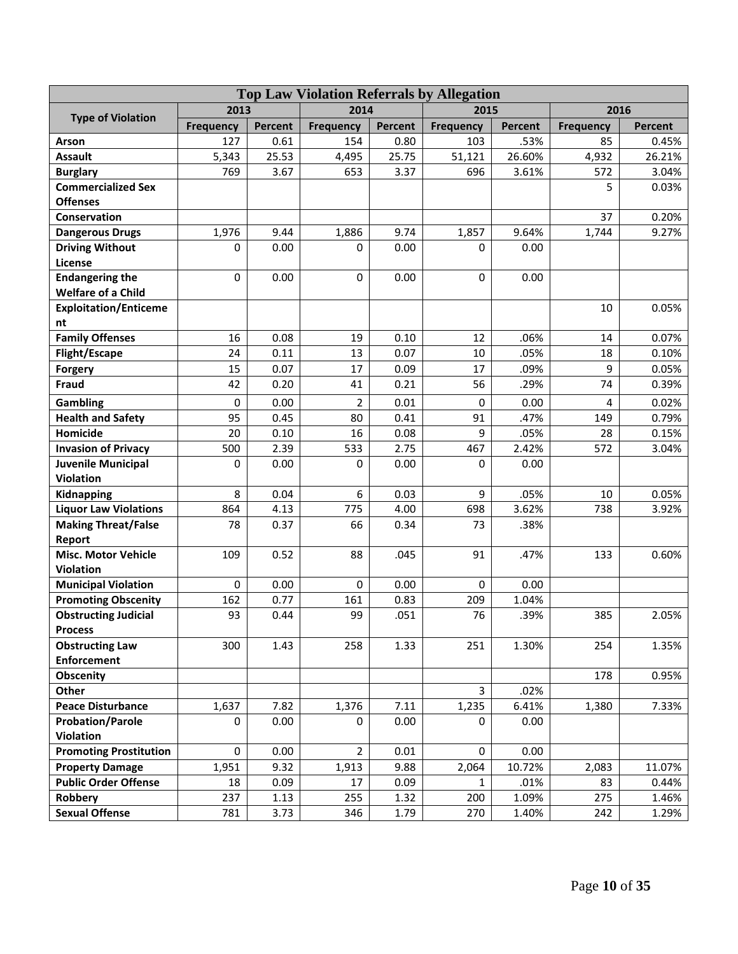| <b>Top Law Violation Referrals by Allegation</b> |                  |         |                  |         |                  |         |                  |                |  |
|--------------------------------------------------|------------------|---------|------------------|---------|------------------|---------|------------------|----------------|--|
|                                                  | 2013             |         | 2014             |         | 2015             |         | 2016             |                |  |
| <b>Type of Violation</b>                         | <b>Frequency</b> | Percent | <b>Frequency</b> | Percent | <b>Frequency</b> | Percent | <b>Frequency</b> | <b>Percent</b> |  |
| Arson                                            | 127              | 0.61    | 154              | 0.80    | 103              | .53%    | 85               | 0.45%          |  |
| <b>Assault</b>                                   | 5,343            | 25.53   | 4,495            | 25.75   | 51,121           | 26.60%  | 4,932            | 26.21%         |  |
| <b>Burglary</b>                                  | 769              | 3.67    | 653              | 3.37    | 696              | 3.61%   | 572              | 3.04%          |  |
| <b>Commercialized Sex</b>                        |                  |         |                  |         |                  |         | 5                | 0.03%          |  |
| <b>Offenses</b>                                  |                  |         |                  |         |                  |         |                  |                |  |
| Conservation                                     |                  |         |                  |         |                  |         | 37               | 0.20%          |  |
| <b>Dangerous Drugs</b>                           | 1,976            | 9.44    | 1,886            | 9.74    | 1,857            | 9.64%   | 1,744            | 9.27%          |  |
| <b>Driving Without</b>                           | $\Omega$         | 0.00    | $\mathbf 0$      | 0.00    | $\Omega$         | 0.00    |                  |                |  |
| License                                          |                  |         |                  |         |                  |         |                  |                |  |
| <b>Endangering the</b>                           | 0                | 0.00    | $\mathbf 0$      | 0.00    | $\Omega$         | 0.00    |                  |                |  |
| <b>Welfare of a Child</b>                        |                  |         |                  |         |                  |         |                  |                |  |
| <b>Exploitation/Enticeme</b>                     |                  |         |                  |         |                  |         | 10               | 0.05%          |  |
| nt                                               |                  |         |                  |         |                  |         |                  |                |  |
| <b>Family Offenses</b>                           | 16               | 0.08    | 19               | 0.10    | 12               | .06%    | 14               | 0.07%          |  |
| <b>Flight/Escape</b>                             | 24               | 0.11    | 13               | 0.07    | 10               | .05%    | 18               | 0.10%          |  |
| Forgery                                          | 15               | 0.07    | 17               | 0.09    | 17               | .09%    | 9                | 0.05%          |  |
| Fraud                                            | 42               | 0.20    | 41               | 0.21    | 56               | .29%    | 74               | 0.39%          |  |
| Gambling                                         | 0                | 0.00    | $\overline{2}$   | 0.01    | 0                | 0.00    | 4                | 0.02%          |  |
| <b>Health and Safety</b>                         | 95               | 0.45    | 80               | 0.41    | 91               | .47%    | 149              | 0.79%          |  |
| Homicide                                         | 20               | 0.10    | 16               | 0.08    | 9                | .05%    | 28               | 0.15%          |  |
| <b>Invasion of Privacy</b>                       | 500              | 2.39    | 533              | 2.75    | 467              | 2.42%   | 572              | 3.04%          |  |
| <b>Juvenile Municipal</b>                        | 0                | 0.00    | 0                | 0.00    | 0                | 0.00    |                  |                |  |
| Violation                                        |                  |         |                  |         |                  |         |                  |                |  |
| Kidnapping                                       | 8                | 0.04    | 6                | 0.03    | 9                | .05%    | 10               | 0.05%          |  |
| <b>Liquor Law Violations</b>                     | 864              | 4.13    | 775              | 4.00    | 698              | 3.62%   | 738              | 3.92%          |  |
| <b>Making Threat/False</b>                       | 78               | 0.37    | 66               | 0.34    | 73               | .38%    |                  |                |  |
| Report                                           |                  |         |                  |         |                  |         |                  |                |  |
| <b>Misc. Motor Vehicle</b>                       | 109              | 0.52    | 88               | .045    | 91               | .47%    | 133              | 0.60%          |  |
| <b>Violation</b>                                 |                  |         |                  |         |                  |         |                  |                |  |
| <b>Municipal Violation</b>                       | 0                | 0.00    | 0                | 0.00    | $\mathbf 0$      | 0.00    |                  |                |  |
| <b>Promoting Obscenity</b>                       | 162              | 0.77    | 161              | 0.83    | 209              | 1.04%   |                  |                |  |
| <b>Obstructing Judicial</b>                      | 93               | 0.44    | 99               | .051    | 76               | .39%    | 385              | 2.05%          |  |
| <b>Process</b>                                   |                  |         |                  |         |                  |         | 254              |                |  |
| <b>Obstructing Law</b><br><b>Enforcement</b>     | 300              | 1.43    | 258              | 1.33    | 251              | 1.30%   |                  | 1.35%          |  |
| Obscenity                                        |                  |         |                  |         |                  |         | 178              | 0.95%          |  |
| Other                                            |                  |         |                  |         | $\overline{3}$   | .02%    |                  |                |  |
| <b>Peace Disturbance</b>                         | 1,637            | 7.82    | 1,376            | 7.11    | 1,235            | 6.41%   | 1,380            | 7.33%          |  |
| <b>Probation/Parole</b>                          | 0                | 0.00    | 0                | 0.00    | 0                | 0.00    |                  |                |  |
| <b>Violation</b>                                 |                  |         |                  |         |                  |         |                  |                |  |
| <b>Promoting Prostitution</b>                    | 0                | 0.00    | $\overline{2}$   | 0.01    | $\Omega$         | 0.00    |                  |                |  |
| <b>Property Damage</b>                           | 1,951            | 9.32    | 1,913            | 9.88    | 2,064            | 10.72%  | 2,083            | 11.07%         |  |
| <b>Public Order Offense</b>                      | 18               | 0.09    | 17               | 0.09    | $\mathbf{1}$     | .01%    | 83               | 0.44%          |  |
| Robbery                                          | 237              | 1.13    | 255              | 1.32    | 200              | 1.09%   | 275              | 1.46%          |  |
| <b>Sexual Offense</b>                            | 781              | 3.73    | 346              | 1.79    | 270              | 1.40%   | 242              | 1.29%          |  |
|                                                  |                  |         |                  |         |                  |         |                  |                |  |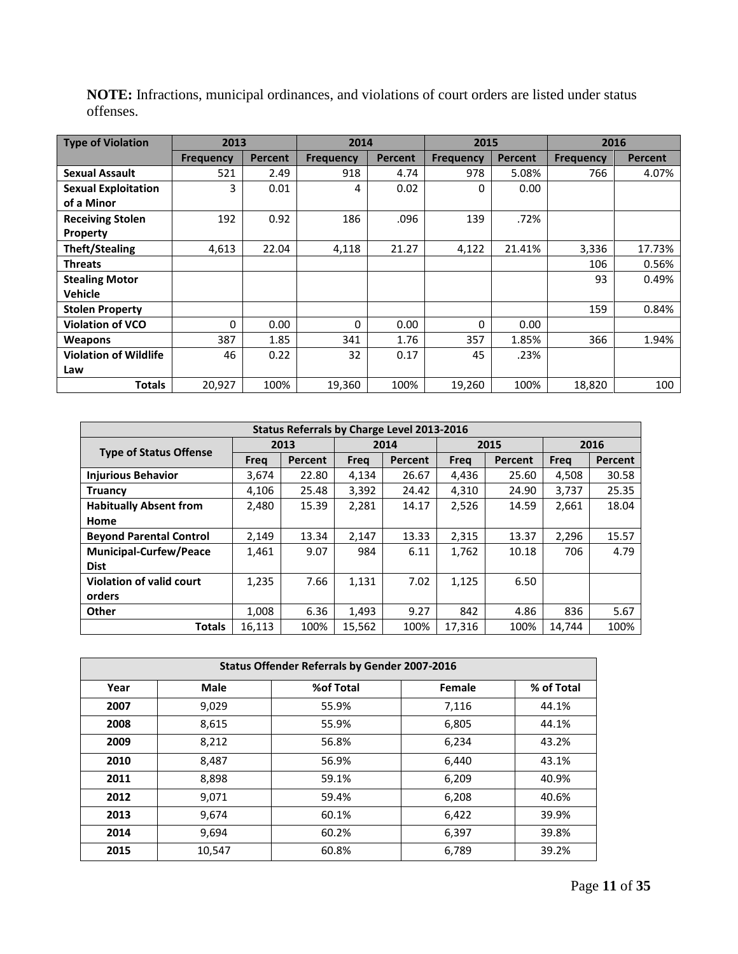| <b>Type of Violation</b>     | 2013             |                | 2014             |                | 2015             |         | 2016             |                |
|------------------------------|------------------|----------------|------------------|----------------|------------------|---------|------------------|----------------|
|                              | <b>Frequency</b> | <b>Percent</b> | <b>Frequency</b> | <b>Percent</b> | <b>Frequency</b> | Percent | <b>Frequency</b> | <b>Percent</b> |
| <b>Sexual Assault</b>        | 521              | 2.49           | 918              | 4.74           | 978              | 5.08%   | 766              | 4.07%          |
| <b>Sexual Exploitation</b>   | 3                | 0.01           | 4                | 0.02           | 0                | 0.00    |                  |                |
| of a Minor                   |                  |                |                  |                |                  |         |                  |                |
| <b>Receiving Stolen</b>      | 192              | 0.92           | 186              | .096           | 139              | .72%    |                  |                |
| Property                     |                  |                |                  |                |                  |         |                  |                |
| <b>Theft/Stealing</b>        | 4,613            | 22.04          | 4,118            | 21.27          | 4,122            | 21.41%  | 3,336            | 17.73%         |
| <b>Threats</b>               |                  |                |                  |                |                  |         | 106              | 0.56%          |
| <b>Stealing Motor</b>        |                  |                |                  |                |                  |         | 93               | 0.49%          |
| Vehicle                      |                  |                |                  |                |                  |         |                  |                |
| <b>Stolen Property</b>       |                  |                |                  |                |                  |         | 159              | 0.84%          |
| <b>Violation of VCO</b>      | 0                | 0.00           | 0                | 0.00           | $\Omega$         | 0.00    |                  |                |
| <b>Weapons</b>               | 387              | 1.85           | 341              | 1.76           | 357              | 1.85%   | 366              | 1.94%          |
| <b>Violation of Wildlife</b> | 46               | 0.22           | 32               | 0.17           | 45               | .23%    |                  |                |
| Law                          |                  |                |                  |                |                  |         |                  |                |
| <b>Totals</b>                | 20,927           | 100%           | 19,360           | 100%           | 19,260           | 100%    | 18,820           | 100            |

**NOTE:** Infractions, municipal ordinances, and violations of court orders are listed under status offenses.

| Status Referrals by Charge Level 2013-2016 |        |         |        |         |        |         |        |                |  |  |
|--------------------------------------------|--------|---------|--------|---------|--------|---------|--------|----------------|--|--|
|                                            | 2013   |         | 2014   |         | 2015   |         | 2016   |                |  |  |
| <b>Type of Status Offense</b>              | Frea   | Percent | Freq   | Percent | Freq   | Percent | Frea   | <b>Percent</b> |  |  |
| <b>Injurious Behavior</b>                  | 3,674  | 22.80   | 4,134  | 26.67   | 4,436  | 25.60   | 4,508  | 30.58          |  |  |
| <b>Truancy</b>                             | 4.106  | 25.48   | 3,392  | 24.42   | 4,310  | 24.90   | 3,737  | 25.35          |  |  |
| <b>Habitually Absent from</b>              | 2,480  | 15.39   | 2,281  | 14.17   | 2,526  | 14.59   | 2,661  | 18.04          |  |  |
| Home                                       |        |         |        |         |        |         |        |                |  |  |
| <b>Beyond Parental Control</b>             | 2,149  | 13.34   | 2,147  | 13.33   | 2,315  | 13.37   | 2,296  | 15.57          |  |  |
| <b>Municipal-Curfew/Peace</b>              | 1,461  | 9.07    | 984    | 6.11    | 1,762  | 10.18   | 706    | 4.79           |  |  |
| <b>Dist</b>                                |        |         |        |         |        |         |        |                |  |  |
| <b>Violation of valid court</b>            | 1.235  | 7.66    | 1,131  | 7.02    | 1,125  | 6.50    |        |                |  |  |
| orders                                     |        |         |        |         |        |         |        |                |  |  |
| Other                                      | 1,008  | 6.36    | 1,493  | 9.27    | 842    | 4.86    | 836    | 5.67           |  |  |
| <b>Totals</b>                              | 16,113 | 100%    | 15.562 | 100%    | 17.316 | 100%    | 14.744 | 100%           |  |  |

| <b>Status Offender Referrals by Gender 2007-2016</b> |        |           |        |            |  |  |  |  |  |
|------------------------------------------------------|--------|-----------|--------|------------|--|--|--|--|--|
| Year                                                 | Male   | %of Total | Female | % of Total |  |  |  |  |  |
| 2007                                                 | 9,029  | 55.9%     | 7,116  | 44.1%      |  |  |  |  |  |
| 2008                                                 | 8,615  | 55.9%     | 6,805  | 44.1%      |  |  |  |  |  |
| 2009                                                 | 8,212  | 56.8%     | 6,234  | 43.2%      |  |  |  |  |  |
| 2010                                                 | 8,487  | 56.9%     | 6,440  | 43.1%      |  |  |  |  |  |
| 2011                                                 | 8,898  | 59.1%     | 6,209  | 40.9%      |  |  |  |  |  |
| 2012                                                 | 9,071  | 59.4%     | 6,208  | 40.6%      |  |  |  |  |  |
| 2013                                                 | 9.674  | 60.1%     | 6,422  | 39.9%      |  |  |  |  |  |
| 2014                                                 | 9,694  | 60.2%     | 6,397  | 39.8%      |  |  |  |  |  |
| 2015                                                 | 10,547 | 60.8%     | 6,789  | 39.2%      |  |  |  |  |  |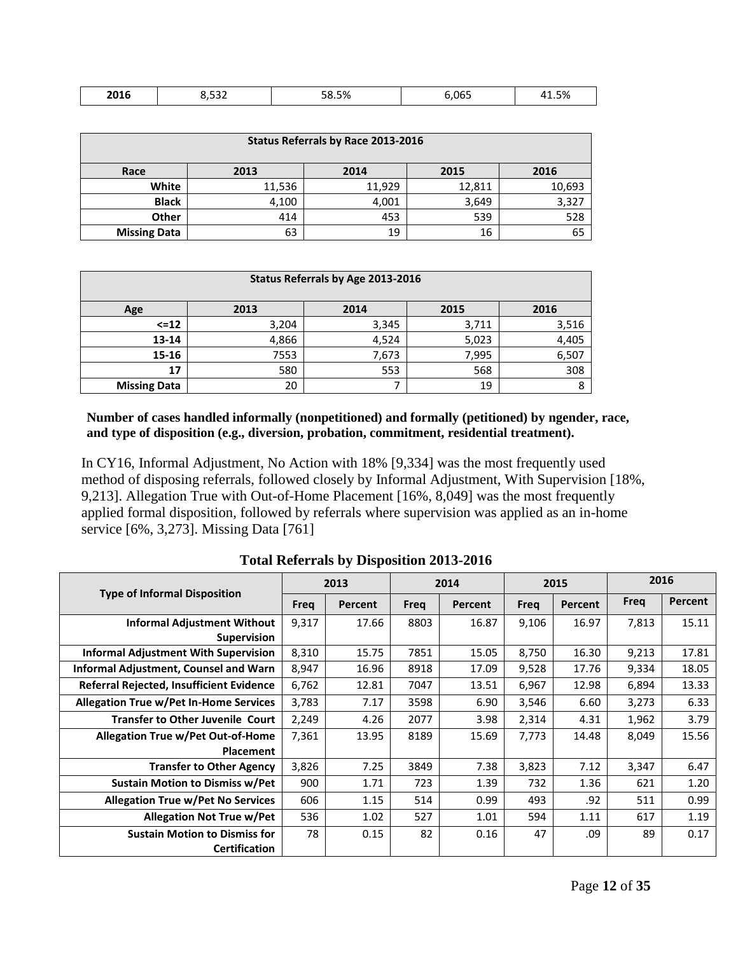| 204c<br><b>SOTP</b> | $ -$ | F <sub>0</sub><br>0.J70<br>` | $\cdots$ 0.000<br>Ur | $ \sim$<br>+1.J70 |
|---------------------|------|------------------------------|----------------------|-------------------|

|                     | Status Referrals by Race 2013-2016 |        |        |        |  |  |  |  |  |  |  |
|---------------------|------------------------------------|--------|--------|--------|--|--|--|--|--|--|--|
| Race                | 2013<br>2015<br>2014<br>2016       |        |        |        |  |  |  |  |  |  |  |
| White               | 11,536                             | 11,929 | 12,811 | 10,693 |  |  |  |  |  |  |  |
| <b>Black</b>        | 4,100                              | 4,001  | 3,649  | 3,327  |  |  |  |  |  |  |  |
| <b>Other</b>        | 414                                | 453    | 539    | 528    |  |  |  |  |  |  |  |
| <b>Missing Data</b> | 63                                 | 19     | 16     | 65     |  |  |  |  |  |  |  |

| Status Referrals by Age 2013-2016 |       |       |       |       |  |  |  |  |
|-----------------------------------|-------|-------|-------|-------|--|--|--|--|
| Age                               | 2013  | 2014  | 2015  | 2016  |  |  |  |  |
| $\le$ = 12                        | 3,204 | 3,345 | 3,711 | 3,516 |  |  |  |  |
| $13 - 14$                         | 4,866 | 4,524 | 5,023 | 4,405 |  |  |  |  |
| $15 - 16$                         | 7553  | 7,673 | 7,995 | 6,507 |  |  |  |  |
| 17                                | 580   | 553   | 568   | 308   |  |  |  |  |
| <b>Missing Data</b>               | 20    |       | 19    | 8     |  |  |  |  |

**Number of cases handled informally (nonpetitioned) and formally (petitioned) by ngender, race, and type of disposition (e.g., diversion, probation, commitment, residential treatment).**

In CY16, Informal Adjustment, No Action with 18% [9,334] was the most frequently used method of disposing referrals, followed closely by Informal Adjustment, With Supervision [18%, 9,213]. Allegation True with Out-of-Home Placement [16%, 8,049] was the most frequently applied formal disposition, followed by referrals where supervision was applied as an in-home service [6%, 3,273]. Missing Data [761]

|                                               |       | 2013    |      | 2014    |       | 2015    | 2016        |         |
|-----------------------------------------------|-------|---------|------|---------|-------|---------|-------------|---------|
| <b>Type of Informal Disposition</b>           | Freg  | Percent | Freg | Percent | Freq  | Percent | <b>Freq</b> | Percent |
| <b>Informal Adjustment Without</b>            | 9,317 | 17.66   | 8803 | 16.87   | 9,106 | 16.97   | 7,813       | 15.11   |
| <b>Supervision</b>                            |       |         |      |         |       |         |             |         |
| <b>Informal Adjustment With Supervision</b>   | 8,310 | 15.75   | 7851 | 15.05   | 8,750 | 16.30   | 9,213       | 17.81   |
| Informal Adjustment, Counsel and Warn         | 8,947 | 16.96   | 8918 | 17.09   | 9,528 | 17.76   | 9,334       | 18.05   |
| Referral Rejected, Insufficient Evidence      | 6,762 | 12.81   | 7047 | 13.51   | 6,967 | 12.98   | 6,894       | 13.33   |
| <b>Allegation True w/Pet In-Home Services</b> | 3,783 | 7.17    | 3598 | 6.90    | 3,546 | 6.60    | 3,273       | 6.33    |
| <b>Transfer to Other Juvenile Court</b>       | 2,249 | 4.26    | 2077 | 3.98    | 2,314 | 4.31    | 1,962       | 3.79    |
| <b>Allegation True w/Pet Out-of-Home</b>      | 7,361 | 13.95   | 8189 | 15.69   | 7,773 | 14.48   | 8,049       | 15.56   |
| <b>Placement</b>                              |       |         |      |         |       |         |             |         |
| <b>Transfer to Other Agency</b>               | 3,826 | 7.25    | 3849 | 7.38    | 3,823 | 7.12    | 3,347       | 6.47    |
| <b>Sustain Motion to Dismiss w/Pet</b>        | 900   | 1.71    | 723  | 1.39    | 732   | 1.36    | 621         | 1.20    |
| <b>Allegation True w/Pet No Services</b>      | 606   | 1.15    | 514  | 0.99    | 493   | .92     | 511         | 0.99    |
| <b>Allegation Not True w/Pet</b>              | 536   | 1.02    | 527  | 1.01    | 594   | 1.11    | 617         | 1.19    |
| <b>Sustain Motion to Dismiss for</b>          | 78    | 0.15    | 82   | 0.16    | 47    | .09     | 89          | 0.17    |
| <b>Certification</b>                          |       |         |      |         |       |         |             |         |

**Total Referrals by Disposition 2013-2016**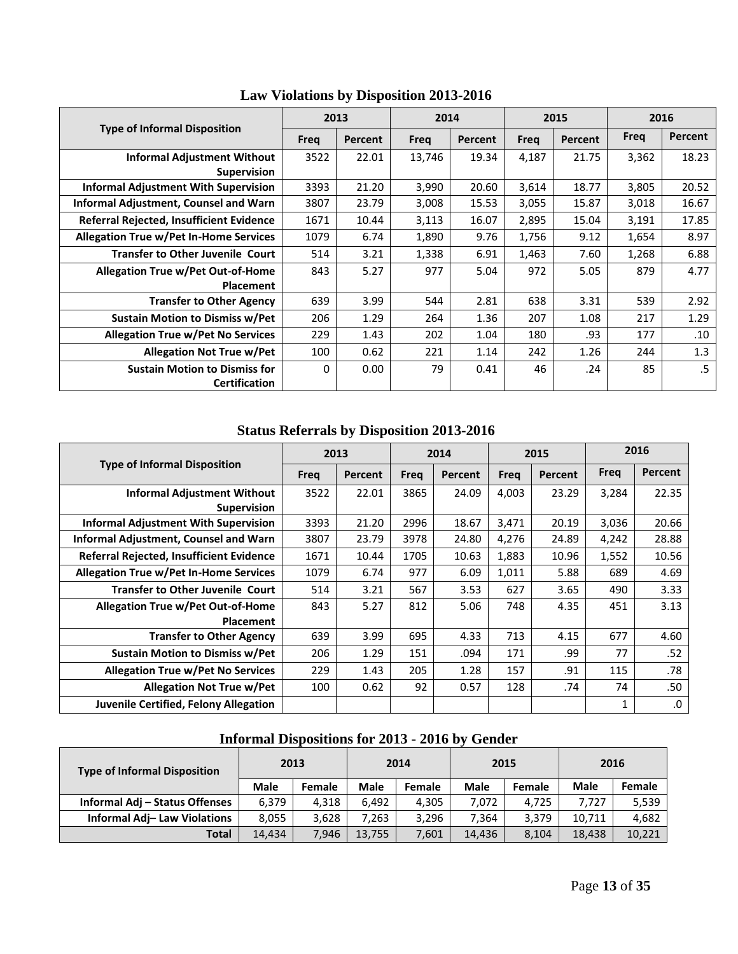|                                               |      | 2013    |        | 2014    |       | 2015    | 2016  |         |
|-----------------------------------------------|------|---------|--------|---------|-------|---------|-------|---------|
| <b>Type of Informal Disposition</b>           | Freg | Percent | Freq   | Percent | Freg  | Percent | Freq  | Percent |
| <b>Informal Adjustment Without</b>            | 3522 | 22.01   | 13,746 | 19.34   | 4,187 | 21.75   | 3,362 | 18.23   |
| <b>Supervision</b>                            |      |         |        |         |       |         |       |         |
| <b>Informal Adjustment With Supervision</b>   | 3393 | 21.20   | 3,990  | 20.60   | 3,614 | 18.77   | 3,805 | 20.52   |
| Informal Adjustment, Counsel and Warn         | 3807 | 23.79   | 3,008  | 15.53   | 3,055 | 15.87   | 3,018 | 16.67   |
| Referral Rejected, Insufficient Evidence      | 1671 | 10.44   | 3,113  | 16.07   | 2,895 | 15.04   | 3,191 | 17.85   |
| <b>Allegation True w/Pet In-Home Services</b> | 1079 | 6.74    | 1,890  | 9.76    | 1,756 | 9.12    | 1,654 | 8.97    |
| <b>Transfer to Other Juvenile Court</b>       | 514  | 3.21    | 1,338  | 6.91    | 1,463 | 7.60    | 1,268 | 6.88    |
| <b>Allegation True w/Pet Out-of-Home</b>      | 843  | 5.27    | 977    | 5.04    | 972   | 5.05    | 879   | 4.77    |
| <b>Placement</b>                              |      |         |        |         |       |         |       |         |
| <b>Transfer to Other Agency</b>               | 639  | 3.99    | 544    | 2.81    | 638   | 3.31    | 539   | 2.92    |
| <b>Sustain Motion to Dismiss w/Pet</b>        | 206  | 1.29    | 264    | 1.36    | 207   | 1.08    | 217   | 1.29    |
| <b>Allegation True w/Pet No Services</b>      | 229  | 1.43    | 202    | 1.04    | 180   | .93     | 177   | .10     |
| <b>Allegation Not True w/Pet</b>              | 100  | 0.62    | 221    | 1.14    | 242   | 1.26    | 244   | 1.3     |
| <b>Sustain Motion to Dismiss for</b>          | 0    | 0.00    | 79     | 0.41    | 46    | .24     | 85    | $.5\,$  |
| <b>Certification</b>                          |      |         |        |         |       |         |       |         |

**Law Violations by Disposition 2013-2016** 

# **Status Referrals by Disposition 2013-2016**

|                                               | 2013        |         | 2014 |         | 2015  |         | 2016        |         |
|-----------------------------------------------|-------------|---------|------|---------|-------|---------|-------------|---------|
| <b>Type of Informal Disposition</b>           | <b>Freq</b> | Percent | Freg | Percent | Freg  | Percent | <b>Freq</b> | Percent |
| <b>Informal Adjustment Without</b>            | 3522        | 22.01   | 3865 | 24.09   | 4,003 | 23.29   | 3,284       | 22.35   |
| <b>Supervision</b>                            |             |         |      |         |       |         |             |         |
| <b>Informal Adjustment With Supervision</b>   | 3393        | 21.20   | 2996 | 18.67   | 3,471 | 20.19   | 3,036       | 20.66   |
| Informal Adjustment, Counsel and Warn         | 3807        | 23.79   | 3978 | 24.80   | 4,276 | 24.89   | 4,242       | 28.88   |
| Referral Rejected, Insufficient Evidence      | 1671        | 10.44   | 1705 | 10.63   | 1,883 | 10.96   | 1,552       | 10.56   |
| <b>Allegation True w/Pet In-Home Services</b> | 1079        | 6.74    | 977  | 6.09    | 1,011 | 5.88    | 689         | 4.69    |
| <b>Transfer to Other Juvenile Court</b>       | 514         | 3.21    | 567  | 3.53    | 627   | 3.65    | 490         | 3.33    |
| <b>Allegation True w/Pet Out-of-Home</b>      | 843         | 5.27    | 812  | 5.06    | 748   | 4.35    | 451         | 3.13    |
| <b>Placement</b>                              |             |         |      |         |       |         |             |         |
| <b>Transfer to Other Agency</b>               | 639         | 3.99    | 695  | 4.33    | 713   | 4.15    | 677         | 4.60    |
| <b>Sustain Motion to Dismiss w/Pet</b>        | 206         | 1.29    | 151  | .094    | 171   | .99     | 77          | .52     |
| <b>Allegation True w/Pet No Services</b>      | 229         | 1.43    | 205  | 1.28    | 157   | .91     | 115         | .78     |
| <b>Allegation Not True w/Pet</b>              | 100         | 0.62    | 92   | 0.57    | 128   | .74     | 74          | .50     |
| Juvenile Certified, Felony Allegation         |             |         |      |         |       |         |             | .0      |

| <b>Type of Informal Disposition</b> | 2013        |               | 2014        |        | 2015        |               | 2016        |        |
|-------------------------------------|-------------|---------------|-------------|--------|-------------|---------------|-------------|--------|
|                                     | <b>Male</b> | <b>Female</b> | <b>Male</b> | Female | <b>Male</b> | <b>Female</b> | <b>Male</b> | Female |
| Informal Adj - Status Offenses      | 6.379       | 4.318         | 6.492       | 4.305  | 7,072       | 4.725         | 7.727       | 5,539  |
| Informal Adj-Law Violations         | 8,055       | 3.628         | 7.263       | 3.296  | 7,364       | 3,379         | 10.711      | 4,682  |
| <b>Total</b>                        | 14.434      | 7.946         | 13,755      | 7,601  | 14,436      | 8,104         | 18.438      | 10,221 |

# **Informal Dispositions for 2013 - 2016 by Gender**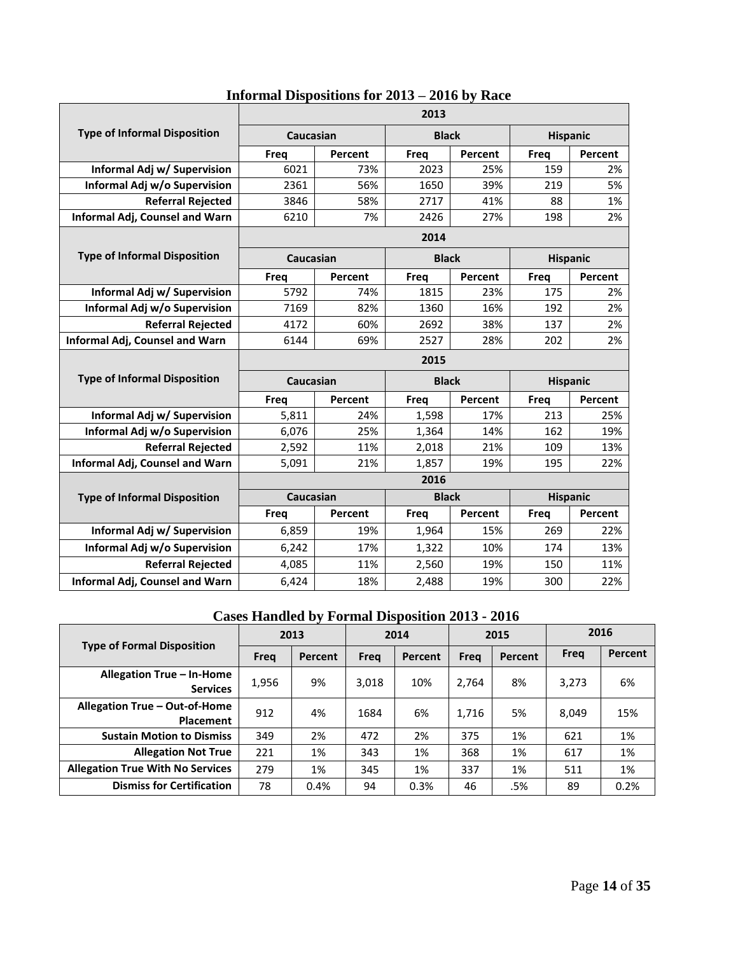|                                       |           |         | 2013         |         |                 |                 |  |  |  |
|---------------------------------------|-----------|---------|--------------|---------|-----------------|-----------------|--|--|--|
| <b>Type of Informal Disposition</b>   | Caucasian |         | <b>Black</b> |         |                 | <b>Hispanic</b> |  |  |  |
|                                       | Freq      | Percent | Freq         | Percent | Freq            | Percent         |  |  |  |
| Informal Adj w/ Supervision           | 6021      | 73%     | 2023         | 25%     | 159             | 2%              |  |  |  |
| Informal Adj w/o Supervision          | 2361      | 56%     | 1650         | 39%     | 219             | 5%              |  |  |  |
| <b>Referral Rejected</b>              | 3846      | 58%     | 2717         | 41%     | 88              | 1%              |  |  |  |
| Informal Adj, Counsel and Warn        | 6210      | 7%      | 2426         | 27%     | 198             | 2%              |  |  |  |
|                                       | 2014      |         |              |         |                 |                 |  |  |  |
| <b>Type of Informal Disposition</b>   | Caucasian |         | <b>Black</b> |         |                 | <b>Hispanic</b> |  |  |  |
|                                       | Freq      | Percent | <b>Freq</b>  | Percent | Freq            | Percent         |  |  |  |
| Informal Adj w/ Supervision           | 5792      | 74%     | 1815         | 23%     | 175             | 2%              |  |  |  |
| Informal Adj w/o Supervision          | 7169      | 82%     | 1360         | 16%     | 192             | 2%              |  |  |  |
| <b>Referral Rejected</b>              | 4172      | 60%     | 2692         | 38%     | 137             | 2%              |  |  |  |
| <b>Informal Adj, Counsel and Warn</b> | 6144      | 69%     | 2527         | 28%     | 202             | 2%              |  |  |  |
|                                       | 2015      |         |              |         |                 |                 |  |  |  |
| <b>Type of Informal Disposition</b>   | Caucasian |         | <b>Black</b> |         | <b>Hispanic</b> |                 |  |  |  |
|                                       | Freq      | Percent | Freq         | Percent | <b>Freq</b>     | Percent         |  |  |  |
| Informal Adj w/ Supervision           | 5,811     | 24%     | 1,598        | 17%     | 213             | 25%             |  |  |  |
| Informal Adj w/o Supervision          | 6,076     | 25%     | 1,364        | 14%     | 162             | 19%             |  |  |  |
| <b>Referral Rejected</b>              | 2,592     | 11%     | 2,018        | 21%     | 109             | 13%             |  |  |  |
| Informal Adj, Counsel and Warn        | 5,091     | 21%     | 1,857        | 19%     | 195             | 22%             |  |  |  |
|                                       |           |         | 2016         |         |                 |                 |  |  |  |
| <b>Type of Informal Disposition</b>   | Caucasian |         | <b>Black</b> |         |                 | <b>Hispanic</b> |  |  |  |
|                                       | Freq      | Percent | <b>Freq</b>  | Percent | Freq            | Percent         |  |  |  |
| Informal Adj w/ Supervision           | 6,859     | 19%     | 1,964        | 15%     | 269             | 22%             |  |  |  |
| Informal Adj w/o Supervision          | 6,242     | 17%     | 1,322        | 10%     | 174             | 13%             |  |  |  |
| <b>Referral Rejected</b>              | 4,085     | 11%     | 2,560        | 19%     | 150             | 11%             |  |  |  |
| Informal Adj, Counsel and Warn        | 6,424     | 18%     | 2,488        | 19%     | 300             | 22%             |  |  |  |

# **Informal Dispositions for 2013 – 2016 by Race**

# **Cases Handled by Formal Disposition 2013 - 2016**

|                                                   | 2013  |         | 2014  |         | 2015  |         | 2016  |         |
|---------------------------------------------------|-------|---------|-------|---------|-------|---------|-------|---------|
| <b>Type of Formal Disposition</b>                 | Freg  | Percent | Freg  | Percent | Freg  | Percent | Frea  | Percent |
| Allegation True - In-Home<br><b>Services</b>      | 1,956 | 9%      | 3,018 | 10%     | 2,764 | 8%      | 3,273 | 6%      |
| Allegation True - Out-of-Home<br><b>Placement</b> | 912   | 4%      | 1684  | 6%      | 1,716 | 5%      | 8,049 | 15%     |
| <b>Sustain Motion to Dismiss</b>                  | 349   | 2%      | 472   | 2%      | 375   | 1%      | 621   | 1%      |
| <b>Allegation Not True</b>                        | 221   | 1%      | 343   | 1%      | 368   | 1%      | 617   | 1%      |
| <b>Allegation True With No Services</b>           | 279   | 1%      | 345   | 1%      | 337   | 1%      | 511   | 1%      |
| <b>Dismiss for Certification</b>                  | 78    | 0.4%    | 94    | 0.3%    | 46    | .5%     | 89    | 0.2%    |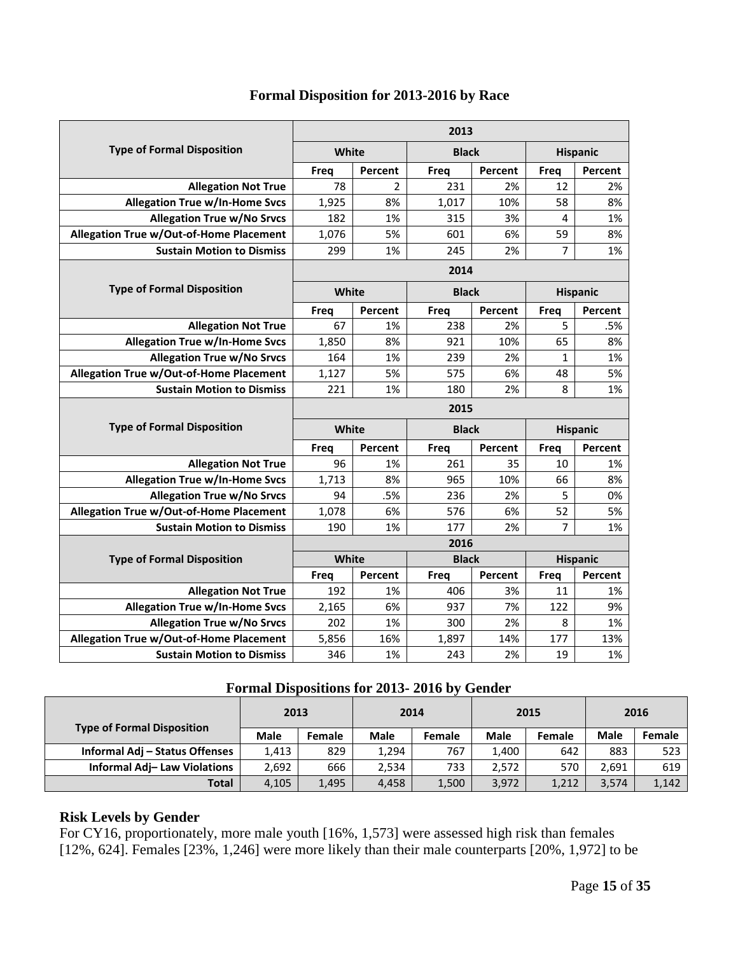|                                                |       |                | 2013         |         |                |                 |
|------------------------------------------------|-------|----------------|--------------|---------|----------------|-----------------|
| <b>Type of Formal Disposition</b>              | White |                | <b>Black</b> |         |                | <b>Hispanic</b> |
|                                                | Freq  | Percent        | <b>Freq</b>  | Percent | <b>Freq</b>    | Percent         |
| <b>Allegation Not True</b>                     | 78    | $\overline{2}$ | 231          | 2%      | 12             | 2%              |
| <b>Allegation True w/In-Home Svcs</b>          | 1,925 | 8%             | 1,017        | 10%     | 58             | 8%              |
| <b>Allegation True w/No Srvcs</b>              | 182   | 1%             | 315          | 3%      | 4              | 1%              |
| Allegation True w/Out-of-Home Placement        | 1,076 | 5%             | 601          | 6%      | 59             | 8%              |
| <b>Sustain Motion to Dismiss</b>               | 299   | 1%             | 245          | 2%      | $\overline{7}$ | 1%              |
|                                                |       |                | 2014         |         |                |                 |
| <b>Type of Formal Disposition</b>              | White |                | <b>Black</b> |         |                | <b>Hispanic</b> |
|                                                | Freq  | Percent        | Freq         | Percent | <b>Freq</b>    | Percent         |
| <b>Allegation Not True</b>                     | 67    | 1%             | 238          | 2%      | 5              | .5%             |
| <b>Allegation True w/In-Home Svcs</b>          | 1,850 | 8%             | 921          | 10%     | 65             | 8%              |
| <b>Allegation True w/No Srvcs</b>              | 164   | 1%             | 239          | 2%      | $\mathbf{1}$   | 1%              |
| <b>Allegation True w/Out-of-Home Placement</b> | 1,127 | 5%             | 575          | 6%      | 48             | 5%              |
| <b>Sustain Motion to Dismiss</b>               | 221   | 1%             | 180          | 2%      | 8              | 1%              |
|                                                |       |                | 2015         |         |                |                 |
| <b>Type of Formal Disposition</b>              | White |                | <b>Black</b> |         |                | <b>Hispanic</b> |
|                                                | Freq  | Percent        | Freg         | Percent | <b>Freq</b>    | Percent         |
| <b>Allegation Not True</b>                     | 96    | 1%             | 261          | 35      | 10             | 1%              |
| <b>Allegation True w/In-Home Svcs</b>          | 1,713 | 8%             | 965          | 10%     | 66             | 8%              |
| <b>Allegation True w/No Srvcs</b>              | 94    | .5%            | 236          | 2%      | 5              | 0%              |
| Allegation True w/Out-of-Home Placement        | 1,078 | 6%             | 576          | 6%      | 52             | 5%              |
| <b>Sustain Motion to Dismiss</b>               | 190   | 1%             | 177          | 2%      | $\overline{7}$ | 1%              |
|                                                |       |                | 2016         |         |                |                 |
| <b>Type of Formal Disposition</b>              | White |                | <b>Black</b> |         |                | <b>Hispanic</b> |
|                                                | Freq  | Percent        | Freq         | Percent | Freq           | Percent         |
| <b>Allegation Not True</b>                     | 192   | 1%             | 406          | 3%      | 11             | 1%              |
| <b>Allegation True w/In-Home Svcs</b>          | 2,165 | 6%             | 937          | 7%      | 122            | 9%              |
| <b>Allegation True w/No Srvcs</b>              | 202   | 1%             | 300          | 2%      | 8              | 1%              |
| Allegation True w/Out-of-Home Placement        | 5,856 | 16%            | 1,897        | 14%     | 177            | 13%             |
| <b>Sustain Motion to Dismiss</b>               | 346   | 1%             | 243          | 2%      | 19             | 1%              |

# **Formal Disposition for 2013-2016 by Race**

#### **Formal Dispositions for 2013- 2016 by Gender**

|                                    | 2013        |        | 2014        |        |             | 2015          |             | 2016   |
|------------------------------------|-------------|--------|-------------|--------|-------------|---------------|-------------|--------|
| <b>Type of Formal Disposition</b>  | <b>Male</b> | Female | <b>Male</b> | Female | <b>Male</b> | <b>Female</b> | <b>Male</b> | Female |
| Informal Adj - Status Offenses     | 1.413       | 829    | 1.294       | 767    | 1.400       | 642           | 883         | 523    |
| <b>Informal Adj-Law Violations</b> | 2,692       | 666    | 2,534       | 733    | 2.572       | 570           | 2.691       | 619    |
| <b>Total</b>                       | 4,105       | 1,495  | 4.458       | 1,500  | 3,972       | 1,212         | 3,574       | 1,142  |

### **Risk Levels by Gender**

For CY16, proportionately, more male youth [16%, 1,573] were assessed high risk than females [12%, 624]. Females [23%, 1,246] were more likely than their male counterparts [20%, 1,972] to be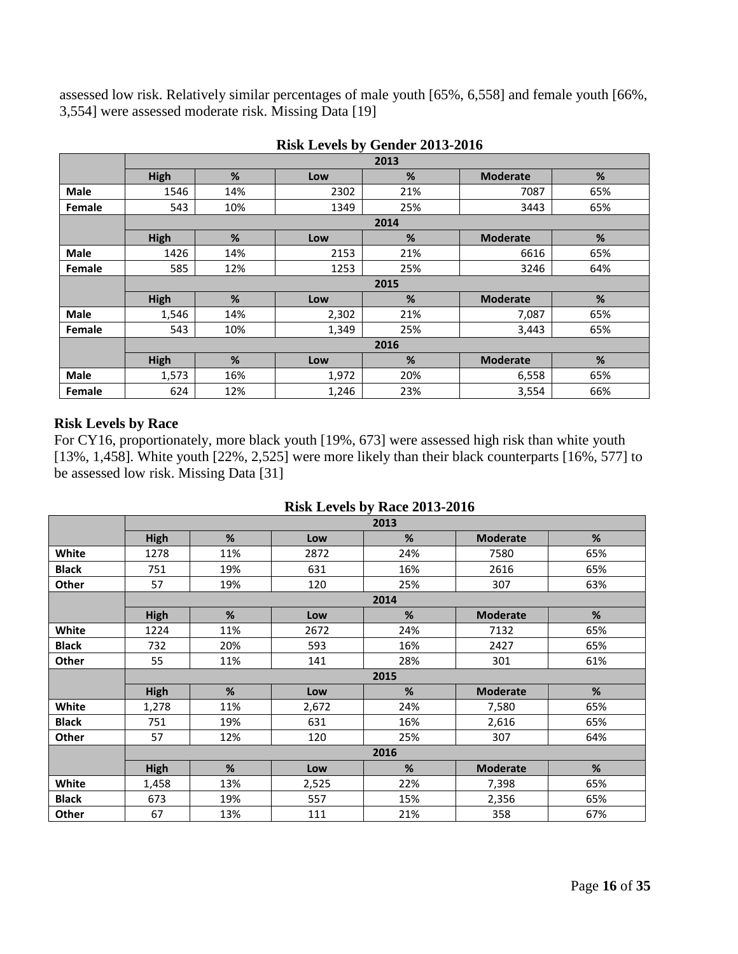assessed low risk. Relatively similar percentages of male youth [65%, 6,558] and female youth [66%, 3,554] were assessed moderate risk. Missing Data [19]

|             |       |     |       | 2013 |                 |     |  |  |  |
|-------------|-------|-----|-------|------|-----------------|-----|--|--|--|
|             | High  | %   | Low   | %    | <b>Moderate</b> | %   |  |  |  |
| <b>Male</b> | 1546  | 14% | 2302  | 21%  | 7087            | 65% |  |  |  |
| Female      | 543   | 10% | 1349  | 25%  | 3443            | 65% |  |  |  |
|             |       |     |       | 2014 |                 |     |  |  |  |
|             | High  | %   | Low   | %    | <b>Moderate</b> | %   |  |  |  |
| <b>Male</b> | 1426  | 14% | 2153  | 21%  | 6616            | 65% |  |  |  |
| Female      | 585   | 12% | 1253  | 25%  | 3246            | 64% |  |  |  |
|             | 2015  |     |       |      |                 |     |  |  |  |
|             | High  | %   | Low   | %    | <b>Moderate</b> | %   |  |  |  |
| <b>Male</b> | 1,546 | 14% | 2,302 | 21%  | 7,087           | 65% |  |  |  |
| Female      | 543   | 10% | 1,349 | 25%  | 3,443           | 65% |  |  |  |
|             |       |     |       | 2016 |                 |     |  |  |  |
|             | High  | %   | Low   | %    | <b>Moderate</b> | %   |  |  |  |
| <b>Male</b> | 1,573 | 16% | 1,972 | 20%  | 6,558           | 65% |  |  |  |
| Female      | 624   | 12% | 1,246 | 23%  | 3,554           | 66% |  |  |  |

| <b>Risk Levels by Gender 2013-2016</b> |
|----------------------------------------|
|----------------------------------------|

#### **Risk Levels by Race**

For CY16, proportionately, more black youth [19%, 673] were assessed high risk than white youth [13%, 1,458]. White youth [22%, 2,525] were more likely than their black counterparts [16%, 577] to be assessed low risk. Missing Data [31]

|  |  | <b>Risk Levels by Race 2013-2016</b> |
|--|--|--------------------------------------|
|  |  |                                      |

|              | 2013        |      |       |      |                 |     |  |  |  |  |
|--------------|-------------|------|-------|------|-----------------|-----|--|--|--|--|
|              | <b>High</b> | %    | Low   | %    | <b>Moderate</b> | %   |  |  |  |  |
| White        | 1278        | 11%  | 2872  | 24%  | 7580            | 65% |  |  |  |  |
| <b>Black</b> | 751         | 19%  | 631   | 16%  | 2616            | 65% |  |  |  |  |
| Other        | 57          | 19%  | 120   | 25%  | 307             | 63% |  |  |  |  |
|              |             | 2014 |       |      |                 |     |  |  |  |  |
|              | <b>High</b> | %    | Low   | %    | <b>Moderate</b> | %   |  |  |  |  |
| White        | 1224        | 11%  | 2672  | 24%  | 7132            | 65% |  |  |  |  |
| <b>Black</b> | 732         | 20%  | 593   | 16%  | 2427            | 65% |  |  |  |  |
| Other        | 55          | 11%  | 141   | 28%  | 301             | 61% |  |  |  |  |
|              |             |      |       | 2015 |                 |     |  |  |  |  |
|              | <b>High</b> | %    | Low   | %    | <b>Moderate</b> | %   |  |  |  |  |
| White        | 1,278       | 11%  | 2,672 | 24%  | 7,580           | 65% |  |  |  |  |
| <b>Black</b> | 751         | 19%  | 631   | 16%  | 2,616           | 65% |  |  |  |  |
| Other        | 57          | 12%  | 120   | 25%  | 307             | 64% |  |  |  |  |
|              |             |      |       | 2016 |                 |     |  |  |  |  |
|              | <b>High</b> | %    | Low   | %    | <b>Moderate</b> | %   |  |  |  |  |
| White        | 1,458       | 13%  | 2,525 | 22%  | 7,398           | 65% |  |  |  |  |
| <b>Black</b> | 673         | 19%  | 557   | 15%  | 2,356           | 65% |  |  |  |  |
| Other        | 67          | 13%  | 111   | 21%  | 358             | 67% |  |  |  |  |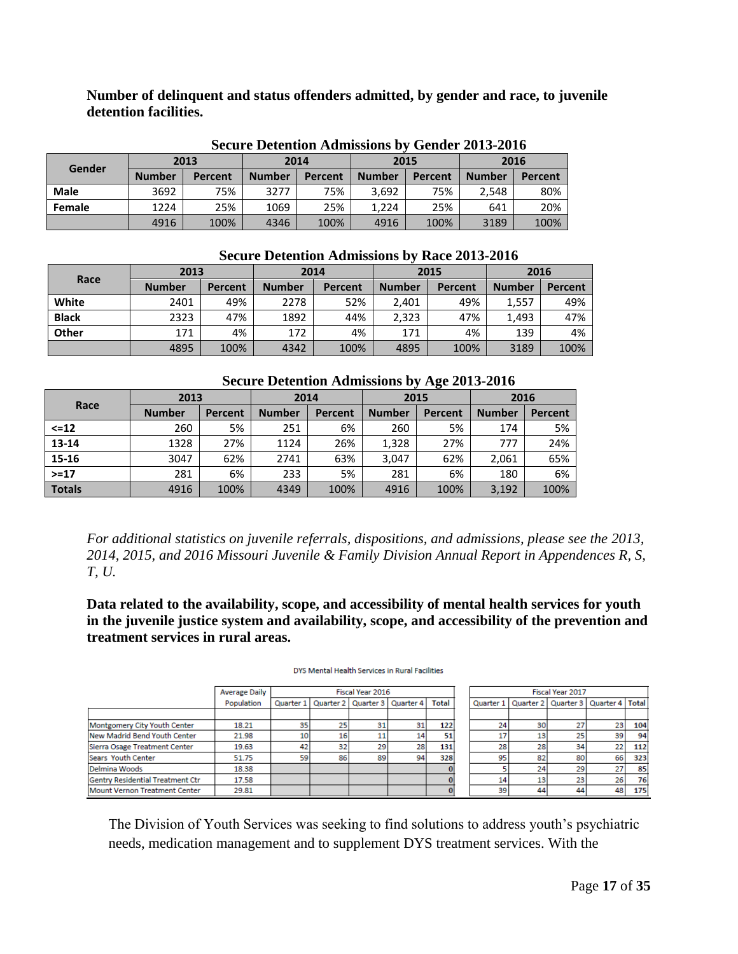**Number of delinquent and status offenders admitted, by gender and race, to juvenile detention facilities.** 

|             | <u>Decum o decumento al cantinopagno d</u><br>$\sim$ subset $\sim$ |                |               |         |               |         |               |                |  |  |
|-------------|--------------------------------------------------------------------|----------------|---------------|---------|---------------|---------|---------------|----------------|--|--|
|             |                                                                    | 2013           | 2014          |         | 2015          |         | 2016          |                |  |  |
| Gender      | <b>Number</b>                                                      | <b>Percent</b> | <b>Number</b> | Percent | <b>Number</b> | Percent | <b>Number</b> | <b>Percent</b> |  |  |
| <b>Male</b> | 3692                                                               | 75%            | 3277          | 75%     | 3,692         | 75%     | 2.548         | 80%            |  |  |
| Female      | 1224                                                               | 25%            | 1069          | 25%     | 1.224         | 25%     | 641           | 20%            |  |  |
|             | 4916                                                               | 100%           | 4346          | 100%    | 4916          | 100%    | 3189          | 100%           |  |  |

**Secure Detention Admissions by Gender 2013-2016**

| Race         | 2013          |         | 2014          |         |               | 2015    | 2016          |                |  |
|--------------|---------------|---------|---------------|---------|---------------|---------|---------------|----------------|--|
|              | <b>Number</b> | Percent | <b>Number</b> | Percent | <b>Number</b> | Percent | <b>Number</b> | <b>Percent</b> |  |
| White        | 2401          | 49%     | 2278          | 52%     | 2,401         | 49%     | 1,557         | 49%            |  |
| <b>Black</b> | 2323          | 47%     | 1892          | 44%     | 2,323         | 47%     | 1.493         | 47%            |  |
| <b>Other</b> | 171           | 4%      | 172           | 4%      | 171           | 4%      | 139           | 4%             |  |
|              | 4895          | 100%    | 4342          | 100%    | 4895          | 100%    | 3189          | 100%           |  |

#### **Secure Detention Admissions by Race 2013-2016**

| <b>Secure Detention Admissions by Age 2013-2016</b> |  |  |  |  |  |
|-----------------------------------------------------|--|--|--|--|--|
|-----------------------------------------------------|--|--|--|--|--|

|               |               |         |               |         |               | $\bullet$ |               |                |  |
|---------------|---------------|---------|---------------|---------|---------------|-----------|---------------|----------------|--|
|               | 2013          |         | 2014          |         | 2015          |           | 2016          |                |  |
| Race          | <b>Number</b> | Percent | <b>Number</b> | Percent | <b>Number</b> | Percent   | <b>Number</b> | <b>Percent</b> |  |
| $\leq$ =12    | 260           | 5%      | 251           | 6%      | 260           | 5%        | 174           | 5%             |  |
| 13-14         | 1328          | 27%     | 1124          | 26%     | 1,328         | 27%       | 777           | 24%            |  |
| 15-16         | 3047          | 62%     | 2741          | 63%     | 3,047         | 62%       | 2,061         | 65%            |  |
| $> = 17$      | 281           | 6%      | 233           | 5%      | 281           | 6%        | 180           | 6%             |  |
| <b>Totals</b> | 4916          | 100%    | 4349          | 100%    | 4916          | 100%      | 3,192         | 100%           |  |

*For additional statistics on juvenile referrals, dispositions, and admissions, please see the 2013, 2014, 2015, and 2016 Missouri Juvenile & Family Division Annual Report in Appendences R, S, T, U.*

**Data related to the availability, scope, and accessibility of mental health services for youth in the juvenile justice system and availability, scope, and accessibility of the prevention and treatment services in rural areas.**

|                                      | <b>Average Daily</b> |    | Fiscal Year 2016 |                                               |    |       | Fiscal Year 2017 |    |                                           |    |     |
|--------------------------------------|----------------------|----|------------------|-----------------------------------------------|----|-------|------------------|----|-------------------------------------------|----|-----|
|                                      | Population           |    |                  | Quarter 1   Quarter 2   Quarter 3   Quarter 4 |    | Total | Quarter 1        |    | Quarter 2   Quarter 3   Quarter 4   Total |    |     |
|                                      |                      |    |                  |                                               |    |       |                  |    |                                           |    |     |
| Montgomery City Youth Center         | 18.21                | 35 | 25               | 31                                            | 31 | 122   | 24               | 30 | 27                                        | 23 | 104 |
| New Madrid Bend Youth Center         | 21.98                | 10 | 16               | 11                                            | 14 | 51    |                  | 13 | 25                                        | 39 | 94  |
| Sierra Osage Treatment Center        | 19.63                | 42 | 32               | 29                                            | 28 | 131   | 28               | 28 | 34                                        | 22 | 112 |
| Sears Youth Center                   | 51.75                | 59 | 86               | 89                                            | 94 | 328   | 95               | 82 | 80                                        | 66 | 323 |
| Delmina Woods                        | 18.38                |    |                  |                                               |    |       |                  | 24 | 29                                        | 27 | 85  |
| Gentry Residential Treatment Ctr     | 17.58                |    |                  |                                               |    |       | 14               | 13 | 23                                        | 26 | 76  |
| <b>Mount Vernon Treatment Center</b> | 29.81                |    |                  |                                               |    |       | 39               | 44 | 44                                        | 48 | 175 |

#### DYS Mental Health Services in Rural Facilities

The Division of Youth Services was seeking to find solutions to address youth's psychiatric needs, medication management and to supplement DYS treatment services. With the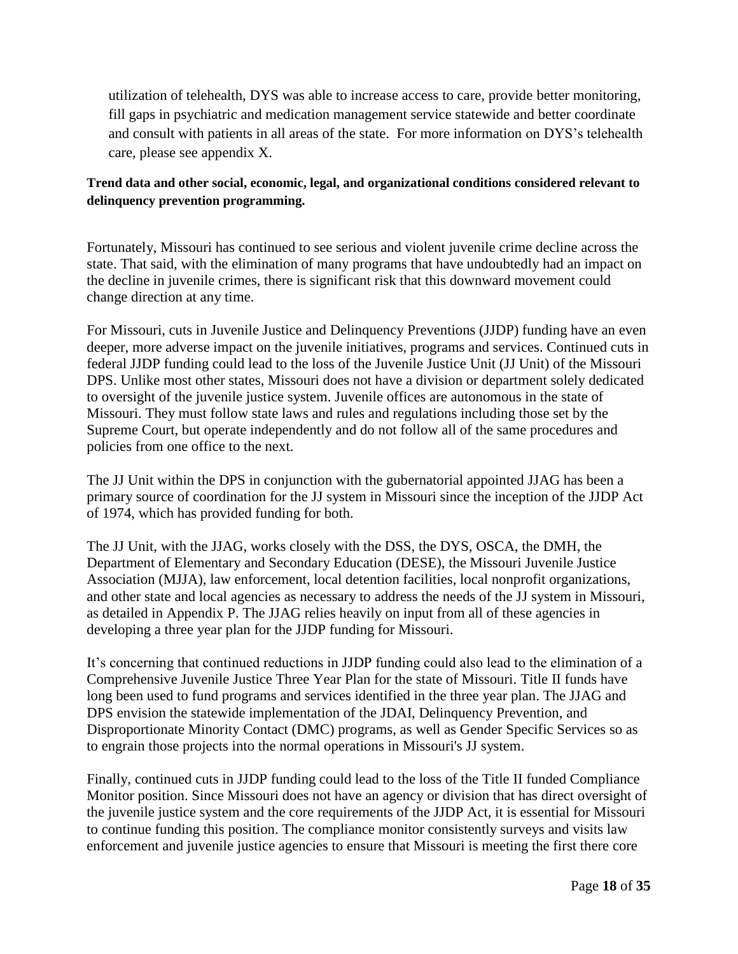utilization of telehealth, DYS was able to increase access to care, provide better monitoring, fill gaps in psychiatric and medication management service statewide and better coordinate and consult with patients in all areas of the state. For more information on DYS's telehealth care, please see appendix X.

#### **Trend data and other social, economic, legal, and organizational conditions considered relevant to delinquency prevention programming.**

Fortunately, Missouri has continued to see serious and violent juvenile crime decline across the state. That said, with the elimination of many programs that have undoubtedly had an impact on the decline in juvenile crimes, there is significant risk that this downward movement could change direction at any time.

For Missouri, cuts in Juvenile Justice and Delinquency Preventions (JJDP) funding have an even deeper, more adverse impact on the juvenile initiatives, programs and services. Continued cuts in federal JJDP funding could lead to the loss of the Juvenile Justice Unit (JJ Unit) of the Missouri DPS. Unlike most other states, Missouri does not have a division or department solely dedicated to oversight of the juvenile justice system. Juvenile offices are autonomous in the state of Missouri. They must follow state laws and rules and regulations including those set by the Supreme Court, but operate independently and do not follow all of the same procedures and policies from one office to the next.

The JJ Unit within the DPS in conjunction with the gubernatorial appointed JJAG has been a primary source of coordination for the JJ system in Missouri since the inception of the JJDP Act of 1974, which has provided funding for both.

The JJ Unit, with the JJAG, works closely with the DSS, the DYS, OSCA, the DMH, the Department of Elementary and Secondary Education (DESE), the Missouri Juvenile Justice Association (MJJA), law enforcement, local detention facilities, local nonprofit organizations, and other state and local agencies as necessary to address the needs of the JJ system in Missouri, as detailed in Appendix P. The JJAG relies heavily on input from all of these agencies in developing a three year plan for the JJDP funding for Missouri.

It's concerning that continued reductions in JJDP funding could also lead to the elimination of a Comprehensive Juvenile Justice Three Year Plan for the state of Missouri. Title II funds have long been used to fund programs and services identified in the three year plan. The JJAG and DPS envision the statewide implementation of the JDAI, Delinquency Prevention, and Disproportionate Minority Contact (DMC) programs, as well as Gender Specific Services so as to engrain those projects into the normal operations in Missouri's JJ system.

Finally, continued cuts in JJDP funding could lead to the loss of the Title II funded Compliance Monitor position. Since Missouri does not have an agency or division that has direct oversight of the juvenile justice system and the core requirements of the JJDP Act, it is essential for Missouri to continue funding this position. The compliance monitor consistently surveys and visits law enforcement and juvenile justice agencies to ensure that Missouri is meeting the first there core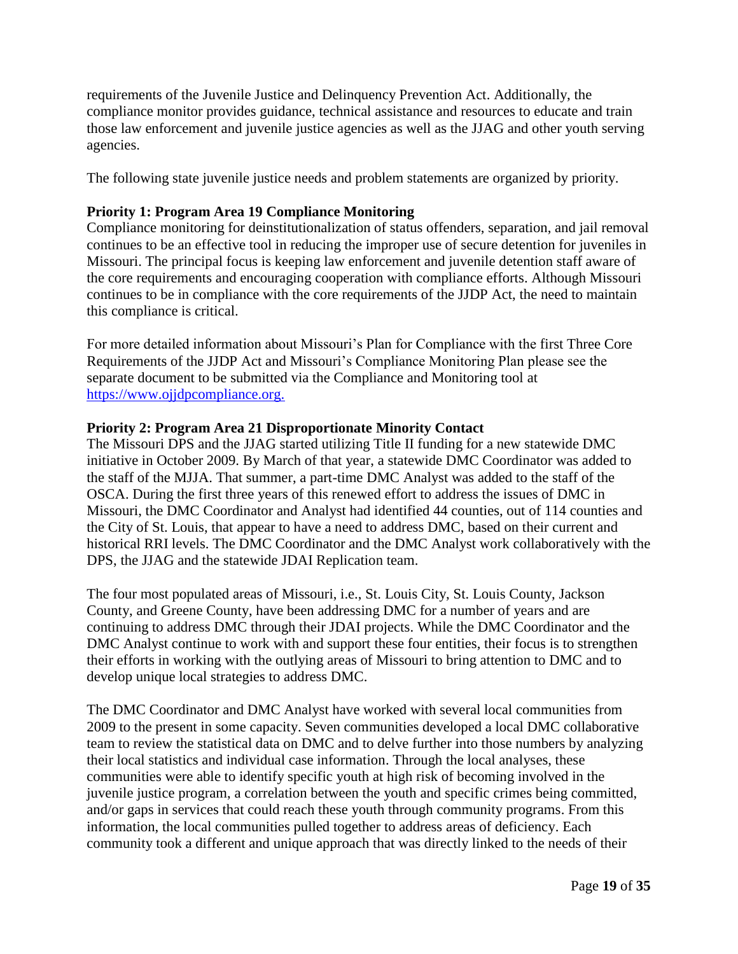requirements of the Juvenile Justice and Delinquency Prevention Act. Additionally, the compliance monitor provides guidance, technical assistance and resources to educate and train those law enforcement and juvenile justice agencies as well as the JJAG and other youth serving agencies.

The following state juvenile justice needs and problem statements are organized by priority.

# **Priority 1: Program Area 19 Compliance Monitoring**

Compliance monitoring for deinstitutionalization of status offenders, separation, and jail removal continues to be an effective tool in reducing the improper use of secure detention for juveniles in Missouri. The principal focus is keeping law enforcement and juvenile detention staff aware of the core requirements and encouraging cooperation with compliance efforts. Although Missouri continues to be in compliance with the core requirements of the JJDP Act, the need to maintain this compliance is critical.

For more detailed information about Missouri's Plan for Compliance with the first Three Core Requirements of the JJDP Act and Missouri's Compliance Monitoring Plan please see the separate document to be submitted via the Compliance and Monitoring tool at [https://www.ojjdpcompliance.org.](https://www.ojjdpcompliance.org/)

#### **Priority 2: Program Area 21 Disproportionate Minority Contact**

The Missouri DPS and the JJAG started utilizing Title II funding for a new statewide DMC initiative in October 2009. By March of that year, a statewide DMC Coordinator was added to the staff of the MJJA. That summer, a part-time DMC Analyst was added to the staff of the OSCA. During the first three years of this renewed effort to address the issues of DMC in Missouri, the DMC Coordinator and Analyst had identified 44 counties, out of 114 counties and the City of St. Louis, that appear to have a need to address DMC, based on their current and historical RRI levels. The DMC Coordinator and the DMC Analyst work collaboratively with the DPS, the JJAG and the statewide JDAI Replication team.

The four most populated areas of Missouri, i.e., St. Louis City, St. Louis County, Jackson County, and Greene County, have been addressing DMC for a number of years and are continuing to address DMC through their JDAI projects. While the DMC Coordinator and the DMC Analyst continue to work with and support these four entities, their focus is to strengthen their efforts in working with the outlying areas of Missouri to bring attention to DMC and to develop unique local strategies to address DMC.

The DMC Coordinator and DMC Analyst have worked with several local communities from 2009 to the present in some capacity. Seven communities developed a local DMC collaborative team to review the statistical data on DMC and to delve further into those numbers by analyzing their local statistics and individual case information. Through the local analyses, these communities were able to identify specific youth at high risk of becoming involved in the juvenile justice program, a correlation between the youth and specific crimes being committed, and/or gaps in services that could reach these youth through community programs. From this information, the local communities pulled together to address areas of deficiency. Each community took a different and unique approach that was directly linked to the needs of their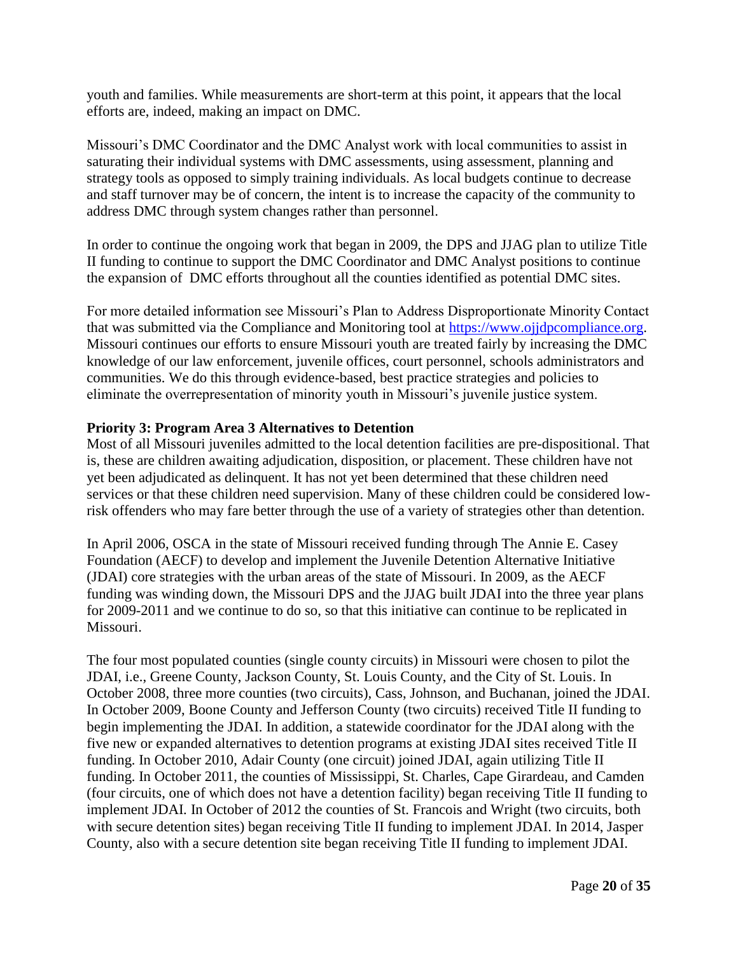youth and families. While measurements are short-term at this point, it appears that the local efforts are, indeed, making an impact on DMC.

Missouri's DMC Coordinator and the DMC Analyst work with local communities to assist in saturating their individual systems with DMC assessments, using assessment, planning and strategy tools as opposed to simply training individuals. As local budgets continue to decrease and staff turnover may be of concern, the intent is to increase the capacity of the community to address DMC through system changes rather than personnel.

In order to continue the ongoing work that began in 2009, the DPS and JJAG plan to utilize Title II funding to continue to support the DMC Coordinator and DMC Analyst positions to continue the expansion of DMC efforts throughout all the counties identified as potential DMC sites.

For more detailed information see Missouri's Plan to Address Disproportionate Minority Contact that was submitted via the Compliance and Monitoring tool at [https://www.ojjdpcompliance.org.](https://www.ojjdpcompliance.org/) Missouri continues our efforts to ensure Missouri youth are treated fairly by increasing the DMC knowledge of our law enforcement, juvenile offices, court personnel, schools administrators and communities. We do this through evidence-based, best practice strategies and policies to eliminate the overrepresentation of minority youth in Missouri's juvenile justice system.

#### **Priority 3: Program Area 3 Alternatives to Detention**

Most of all Missouri juveniles admitted to the local detention facilities are pre-dispositional. That is, these are children awaiting adjudication, disposition, or placement. These children have not yet been adjudicated as delinquent. It has not yet been determined that these children need services or that these children need supervision. Many of these children could be considered lowrisk offenders who may fare better through the use of a variety of strategies other than detention.

In April 2006, OSCA in the state of Missouri received funding through The Annie E. Casey Foundation (AECF) to develop and implement the Juvenile Detention Alternative Initiative (JDAI) core strategies with the urban areas of the state of Missouri. In 2009, as the AECF funding was winding down, the Missouri DPS and the JJAG built JDAI into the three year plans for 2009-2011 and we continue to do so, so that this initiative can continue to be replicated in Missouri.

The four most populated counties (single county circuits) in Missouri were chosen to pilot the JDAI, i.e., Greene County, Jackson County, St. Louis County, and the City of St. Louis. In October 2008, three more counties (two circuits), Cass, Johnson, and Buchanan, joined the JDAI. In October 2009, Boone County and Jefferson County (two circuits) received Title II funding to begin implementing the JDAI. In addition, a statewide coordinator for the JDAI along with the five new or expanded alternatives to detention programs at existing JDAI sites received Title II funding. In October 2010, Adair County (one circuit) joined JDAI, again utilizing Title II funding. In October 2011, the counties of Mississippi, St. Charles, Cape Girardeau, and Camden (four circuits, one of which does not have a detention facility) began receiving Title II funding to implement JDAI. In October of 2012 the counties of St. Francois and Wright (two circuits, both with secure detention sites) began receiving Title II funding to implement JDAI. In 2014, Jasper County, also with a secure detention site began receiving Title II funding to implement JDAI.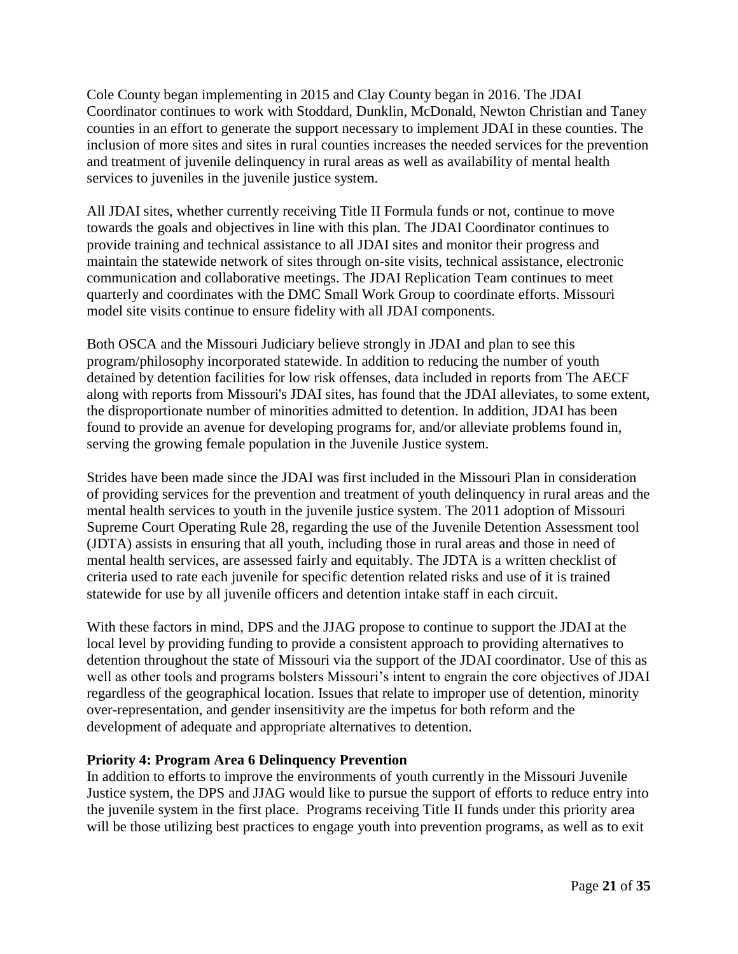Cole County began implementing in 2015 and Clay County began in 2016. The JDAI Coordinator continues to work with Stoddard, Dunklin, McDonald, Newton Christian and Taney counties in an effort to generate the support necessary to implement JDAI in these counties. The inclusion of more sites and sites in rural counties increases the needed services for the prevention and treatment of juvenile delinquency in rural areas as well as availability of mental health services to juveniles in the juvenile justice system.

All JDAI sites, whether currently receiving Title II Formula funds or not, continue to move towards the goals and objectives in line with this plan. The JDAI Coordinator continues to provide training and technical assistance to all JDAI sites and monitor their progress and maintain the statewide network of sites through on-site visits, technical assistance, electronic communication and collaborative meetings. The JDAI Replication Team continues to meet quarterly and coordinates with the DMC Small Work Group to coordinate efforts. Missouri model site visits continue to ensure fidelity with all JDAI components.

Both OSCA and the Missouri Judiciary believe strongly in JDAI and plan to see this program/philosophy incorporated statewide. In addition to reducing the number of youth detained by detention facilities for low risk offenses, data included in reports from The AECF along with reports from Missouri's JDAI sites, has found that the JDAI alleviates, to some extent, the disproportionate number of minorities admitted to detention. In addition, JDAI has been found to provide an avenue for developing programs for, and/or alleviate problems found in, serving the growing female population in the Juvenile Justice system.

Strides have been made since the JDAI was first included in the Missouri Plan in consideration of providing services for the prevention and treatment of youth delinquency in rural areas and the mental health services to youth in the juvenile justice system. The 2011 adoption of Missouri Supreme Court Operating Rule 28, regarding the use of the Juvenile Detention Assessment tool (JDTA) assists in ensuring that all youth, including those in rural areas and those in need of mental health services, are assessed fairly and equitably. The JDTA is a written checklist of criteria used to rate each juvenile for specific detention related risks and use of it is trained statewide for use by all juvenile officers and detention intake staff in each circuit.

With these factors in mind, DPS and the JJAG propose to continue to support the JDAI at the local level by providing funding to provide a consistent approach to providing alternatives to detention throughout the state of Missouri via the support of the JDAI coordinator. Use of this as well as other tools and programs bolsters Missouri's intent to engrain the core objectives of JDAI regardless of the geographical location. Issues that relate to improper use of detention, minority over-representation, and gender insensitivity are the impetus for both reform and the development of adequate and appropriate alternatives to detention.

#### **Priority 4: Program Area 6 Delinquency Prevention**

In addition to efforts to improve the environments of youth currently in the Missouri Juvenile Justice system, the DPS and JJAG would like to pursue the support of efforts to reduce entry into the juvenile system in the first place. Programs receiving Title II funds under this priority area will be those utilizing best practices to engage youth into prevention programs, as well as to exit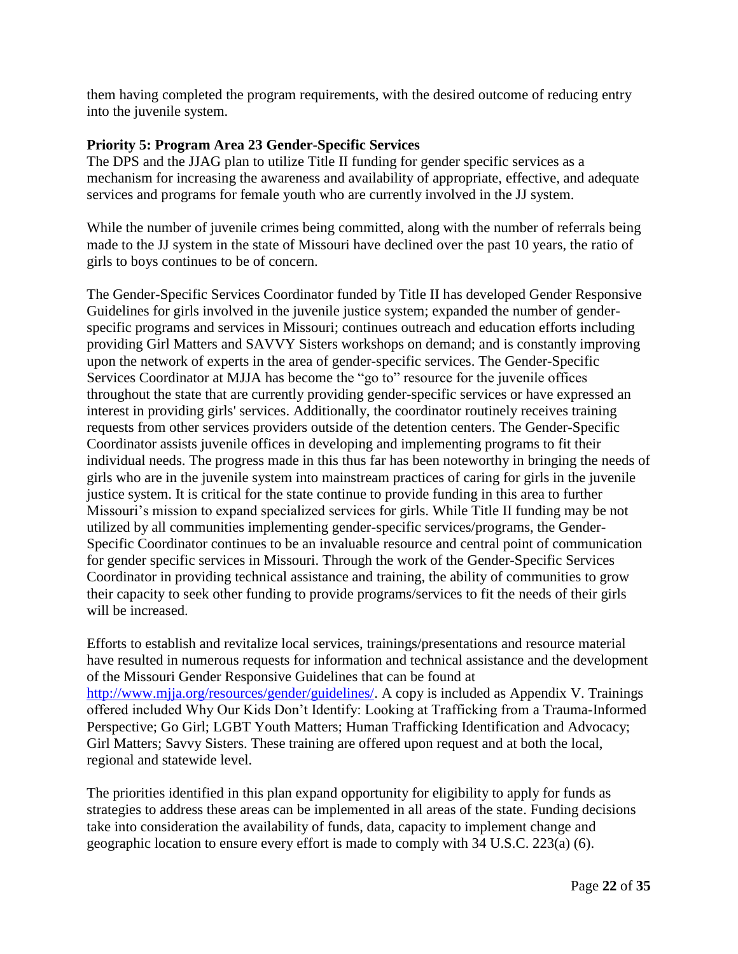them having completed the program requirements, with the desired outcome of reducing entry into the juvenile system.

#### **Priority 5: Program Area 23 Gender-Specific Services**

The DPS and the JJAG plan to utilize Title II funding for gender specific services as a mechanism for increasing the awareness and availability of appropriate, effective, and adequate services and programs for female youth who are currently involved in the JJ system.

While the number of juvenile crimes being committed, along with the number of referrals being made to the JJ system in the state of Missouri have declined over the past 10 years, the ratio of girls to boys continues to be of concern.

The Gender-Specific Services Coordinator funded by Title II has developed Gender Responsive Guidelines for girls involved in the juvenile justice system; expanded the number of genderspecific programs and services in Missouri; continues outreach and education efforts including providing Girl Matters and SAVVY Sisters workshops on demand; and is constantly improving upon the network of experts in the area of gender-specific services. The Gender-Specific Services Coordinator at MJJA has become the "go to" resource for the juvenile offices throughout the state that are currently providing gender-specific services or have expressed an interest in providing girls' services. Additionally, the coordinator routinely receives training requests from other services providers outside of the detention centers. The Gender-Specific Coordinator assists juvenile offices in developing and implementing programs to fit their individual needs. The progress made in this thus far has been noteworthy in bringing the needs of girls who are in the juvenile system into mainstream practices of caring for girls in the juvenile justice system. It is critical for the state continue to provide funding in this area to further Missouri's mission to expand specialized services for girls. While Title II funding may be not utilized by all communities implementing gender-specific services/programs, the Gender-Specific Coordinator continues to be an invaluable resource and central point of communication for gender specific services in Missouri. Through the work of the Gender-Specific Services Coordinator in providing technical assistance and training, the ability of communities to grow their capacity to seek other funding to provide programs/services to fit the needs of their girls will be increased.

Efforts to establish and revitalize local services, trainings/presentations and resource material have resulted in numerous requests for information and technical assistance and the development of the Missouri Gender Responsive Guidelines that can be found at [http://www.mjja.org/resources/gender/guidelines/.](http://www.mjja.org/resources/gender/guidelines/) A copy is included as Appendix V. Trainings offered included Why Our Kids Don't Identify: Looking at Trafficking from a Trauma-Informed Perspective; Go Girl; LGBT Youth Matters; Human Trafficking Identification and Advocacy; Girl Matters; Savvy Sisters. These training are offered upon request and at both the local, regional and statewide level.

The priorities identified in this plan expand opportunity for eligibility to apply for funds as strategies to address these areas can be implemented in all areas of the state. Funding decisions take into consideration the availability of funds, data, capacity to implement change and geographic location to ensure every effort is made to comply with 34 U.S.C. 223(a) (6).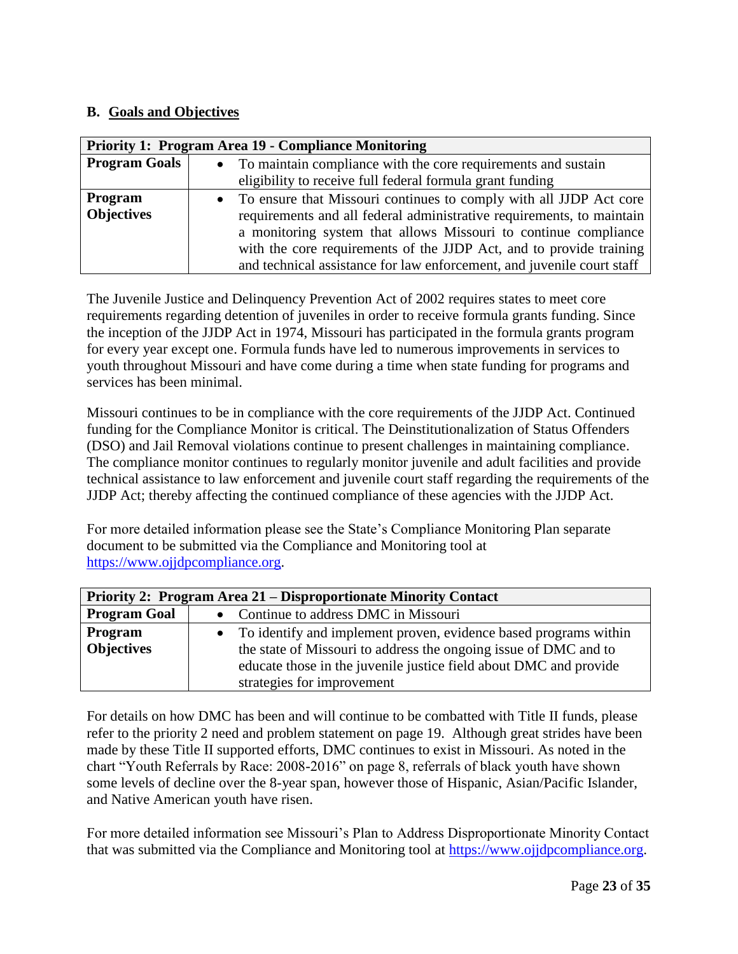#### **B. Goals and Objectives**

| <b>Priority 1: Program Area 19 - Compliance Monitoring</b> |           |                                                                        |  |  |  |  |
|------------------------------------------------------------|-----------|------------------------------------------------------------------------|--|--|--|--|
| <b>Program Goals</b>                                       |           | • To maintain compliance with the core requirements and sustain        |  |  |  |  |
|                                                            |           | eligibility to receive full federal formula grant funding              |  |  |  |  |
| Program                                                    | $\bullet$ | To ensure that Missouri continues to comply with all JJDP Act core     |  |  |  |  |
| <b>Objectives</b>                                          |           | requirements and all federal administrative requirements, to maintain  |  |  |  |  |
|                                                            |           | a monitoring system that allows Missouri to continue compliance        |  |  |  |  |
|                                                            |           | with the core requirements of the JJDP Act, and to provide training    |  |  |  |  |
|                                                            |           | and technical assistance for law enforcement, and juvenile court staff |  |  |  |  |

The Juvenile Justice and Delinquency Prevention Act of 2002 requires states to meet core requirements regarding detention of juveniles in order to receive formula grants funding. Since the inception of the JJDP Act in 1974, Missouri has participated in the formula grants program for every year except one. Formula funds have led to numerous improvements in services to youth throughout Missouri and have come during a time when state funding for programs and services has been minimal.

Missouri continues to be in compliance with the core requirements of the JJDP Act. Continued funding for the Compliance Monitor is critical. The Deinstitutionalization of Status Offenders (DSO) and Jail Removal violations continue to present challenges in maintaining compliance. The compliance monitor continues to regularly monitor juvenile and adult facilities and provide technical assistance to law enforcement and juvenile court staff regarding the requirements of the JJDP Act; thereby affecting the continued compliance of these agencies with the JJDP Act.

For more detailed information please see the State's Compliance Monitoring Plan separate document to be submitted via the Compliance and Monitoring tool at [https://www.ojjdpcompliance.org.](https://www.ojjdpcompliance.org/)

| Priority 2: Program Area 21 – Disproportionate Minority Contact |                                                                    |  |  |  |  |  |  |
|-----------------------------------------------------------------|--------------------------------------------------------------------|--|--|--|--|--|--|
| <b>Program Goal</b>                                             | • Continue to address DMC in Missouri                              |  |  |  |  |  |  |
| Program                                                         | • To identify and implement proven, evidence based programs within |  |  |  |  |  |  |
| <b>Objectives</b>                                               | the state of Missouri to address the ongoing issue of DMC and to   |  |  |  |  |  |  |
|                                                                 | educate those in the juvenile justice field about DMC and provide  |  |  |  |  |  |  |
|                                                                 | strategies for improvement                                         |  |  |  |  |  |  |

For details on how DMC has been and will continue to be combatted with Title II funds, please refer to the priority 2 need and problem statement on page 19. Although great strides have been made by these Title II supported efforts, DMC continues to exist in Missouri. As noted in the chart "Youth Referrals by Race: 2008-2016" on page 8, referrals of black youth have shown some levels of decline over the 8-year span, however those of Hispanic, Asian/Pacific Islander, and Native American youth have risen.

For more detailed information see Missouri's Plan to Address Disproportionate Minority Contact that was submitted via the Compliance and Monitoring tool at [https://www.ojjdpcompliance.org.](https://www.ojjdpcompliance.org/)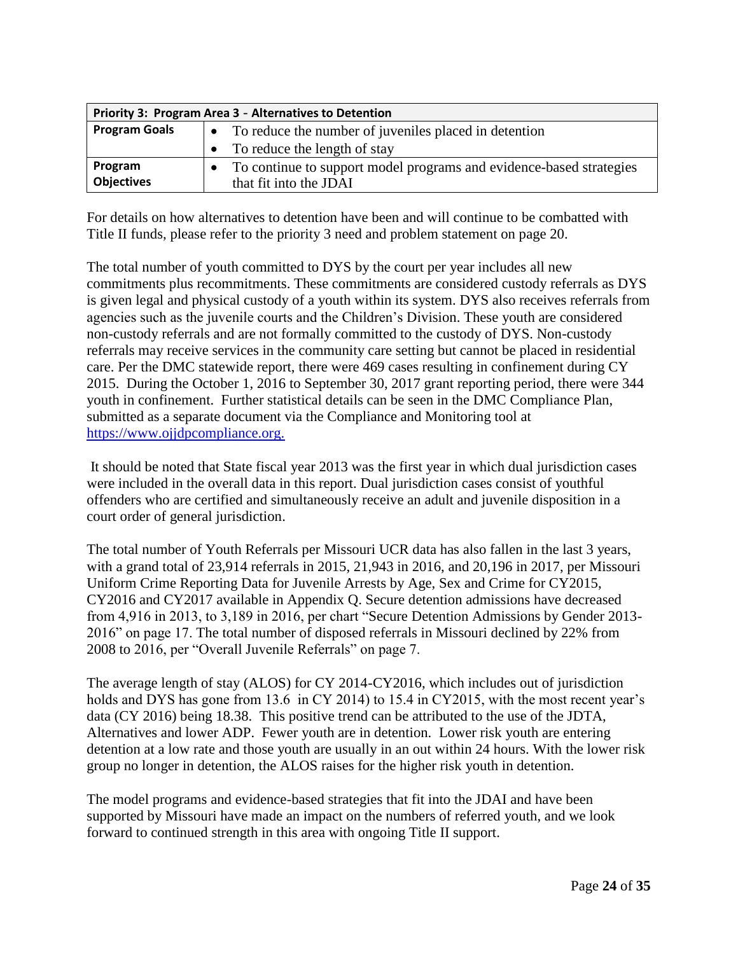| Priority 3: Program Area 3 - Alternatives to Detention |                                                                     |  |  |  |  |
|--------------------------------------------------------|---------------------------------------------------------------------|--|--|--|--|
| <b>Program Goals</b>                                   | To reduce the number of juveniles placed in detention               |  |  |  |  |
|                                                        | To reduce the length of stay                                        |  |  |  |  |
| Program                                                | To continue to support model programs and evidence-based strategies |  |  |  |  |
| <b>Objectives</b>                                      | that fit into the JDAI                                              |  |  |  |  |

For details on how alternatives to detention have been and will continue to be combatted with Title II funds, please refer to the priority 3 need and problem statement on page 20.

The total number of youth committed to DYS by the court per year includes all new commitments plus recommitments. These commitments are considered custody referrals as DYS is given legal and physical custody of a youth within its system. DYS also receives referrals from agencies such as the juvenile courts and the Children's Division. These youth are considered non-custody referrals and are not formally committed to the custody of DYS. Non-custody referrals may receive services in the community care setting but cannot be placed in residential care. Per the DMC statewide report, there were 469 cases resulting in confinement during CY 2015. During the October 1, 2016 to September 30, 2017 grant reporting period, there were 344 youth in confinement. Further statistical details can be seen in the DMC Compliance Plan, submitted as a separate document via the Compliance and Monitoring tool at [https://www.ojjdpcompliance.org.](https://www.ojjdpcompliance.org/)

It should be noted that State fiscal year 2013 was the first year in which dual jurisdiction cases were included in the overall data in this report. Dual jurisdiction cases consist of youthful offenders who are certified and simultaneously receive an adult and juvenile disposition in a court order of general jurisdiction.

The total number of Youth Referrals per Missouri UCR data has also fallen in the last 3 years, with a grand total of 23,914 referrals in 2015, 21,943 in 2016, and 20,196 in 2017, per Missouri Uniform Crime Reporting Data for Juvenile Arrests by Age, Sex and Crime for CY2015, CY2016 and CY2017 available in Appendix Q. Secure detention admissions have decreased from 4,916 in 2013, to 3,189 in 2016, per chart "Secure Detention Admissions by Gender 2013- 2016" on page 17. The total number of disposed referrals in Missouri declined by 22% from 2008 to 2016, per "Overall Juvenile Referrals" on page 7.

The average length of stay (ALOS) for CY 2014-CY2016, which includes out of jurisdiction holds and DYS has gone from 13.6 in CY 2014) to 15.4 in CY 2015, with the most recent year's data (CY 2016) being 18.38. This positive trend can be attributed to the use of the JDTA, Alternatives and lower ADP. Fewer youth are in detention. Lower risk youth are entering detention at a low rate and those youth are usually in an out within 24 hours. With the lower risk group no longer in detention, the ALOS raises for the higher risk youth in detention.

The model programs and evidence-based strategies that fit into the JDAI and have been supported by Missouri have made an impact on the numbers of referred youth, and we look forward to continued strength in this area with ongoing Title II support.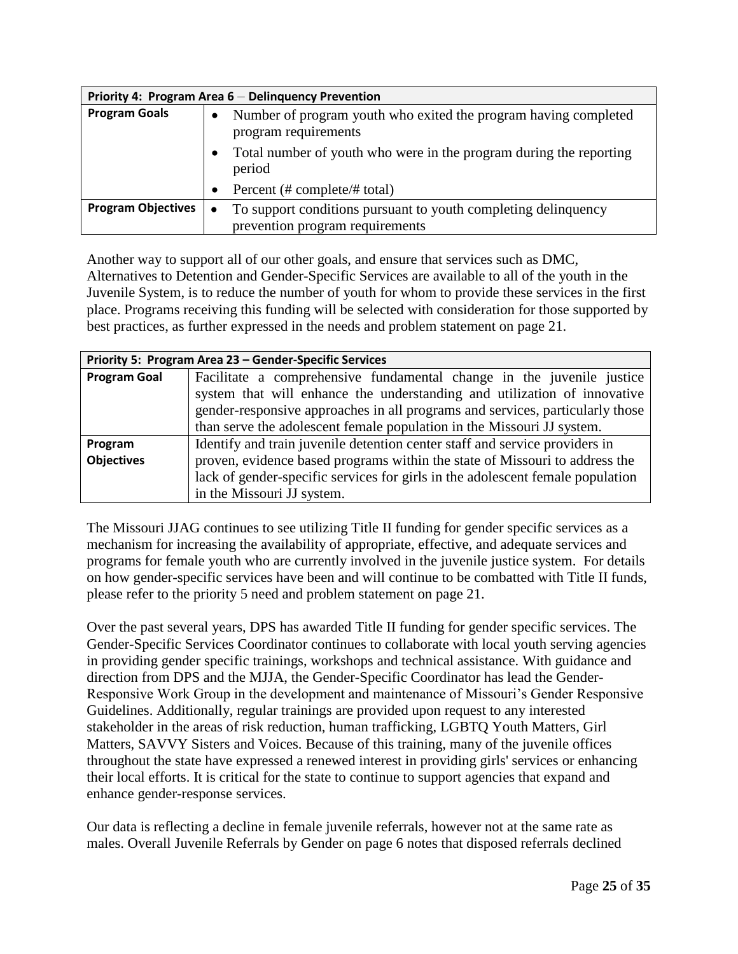| Priority 4: Program Area 6 - Delinquency Prevention |                                                                                                      |  |  |  |  |  |
|-----------------------------------------------------|------------------------------------------------------------------------------------------------------|--|--|--|--|--|
| <b>Program Goals</b>                                | Number of program youth who exited the program having completed<br>$\bullet$<br>program requirements |  |  |  |  |  |
|                                                     | Total number of youth who were in the program during the reporting<br>$\bullet$<br>period            |  |  |  |  |  |
|                                                     | Percent (# complete/# total)<br>$\bullet$                                                            |  |  |  |  |  |
| <b>Program Objectives</b>                           | To support conditions pursuant to youth completing delinquency<br>$\bullet$                          |  |  |  |  |  |
|                                                     | prevention program requirements                                                                      |  |  |  |  |  |

Another way to support all of our other goals, and ensure that services such as DMC, Alternatives to Detention and Gender-Specific Services are available to all of the youth in the Juvenile System, is to reduce the number of youth for whom to provide these services in the first place. Programs receiving this funding will be selected with consideration for those supported by best practices, as further expressed in the needs and problem statement on page 21.

|                     | Priority 5: Program Area 23 - Gender-Specific Services                         |  |  |  |  |  |  |
|---------------------|--------------------------------------------------------------------------------|--|--|--|--|--|--|
| <b>Program Goal</b> | Facilitate a comprehensive fundamental change in the juvenile justice          |  |  |  |  |  |  |
|                     | system that will enhance the understanding and utilization of innovative       |  |  |  |  |  |  |
|                     | gender-responsive approaches in all programs and services, particularly those  |  |  |  |  |  |  |
|                     | than serve the adolescent female population in the Missouri JJ system.         |  |  |  |  |  |  |
| Program             | Identify and train juvenile detention center staff and service providers in    |  |  |  |  |  |  |
| <b>Objectives</b>   | proven, evidence based programs within the state of Missouri to address the    |  |  |  |  |  |  |
|                     | lack of gender-specific services for girls in the adolescent female population |  |  |  |  |  |  |
|                     | in the Missouri JJ system.                                                     |  |  |  |  |  |  |

The Missouri JJAG continues to see utilizing Title II funding for gender specific services as a mechanism for increasing the availability of appropriate, effective, and adequate services and programs for female youth who are currently involved in the juvenile justice system. For details on how gender-specific services have been and will continue to be combatted with Title II funds, please refer to the priority 5 need and problem statement on page 21.

Over the past several years, DPS has awarded Title II funding for gender specific services. The Gender-Specific Services Coordinator continues to collaborate with local youth serving agencies in providing gender specific trainings, workshops and technical assistance. With guidance and direction from DPS and the MJJA, the Gender-Specific Coordinator has lead the Gender-Responsive Work Group in the development and maintenance of Missouri's Gender Responsive Guidelines. Additionally, regular trainings are provided upon request to any interested stakeholder in the areas of risk reduction, human trafficking, LGBTQ Youth Matters, Girl Matters, SAVVY Sisters and Voices. Because of this training, many of the juvenile offices throughout the state have expressed a renewed interest in providing girls' services or enhancing their local efforts. It is critical for the state to continue to support agencies that expand and enhance gender-response services.

Our data is reflecting a decline in female juvenile referrals, however not at the same rate as males. Overall Juvenile Referrals by Gender on page 6 notes that disposed referrals declined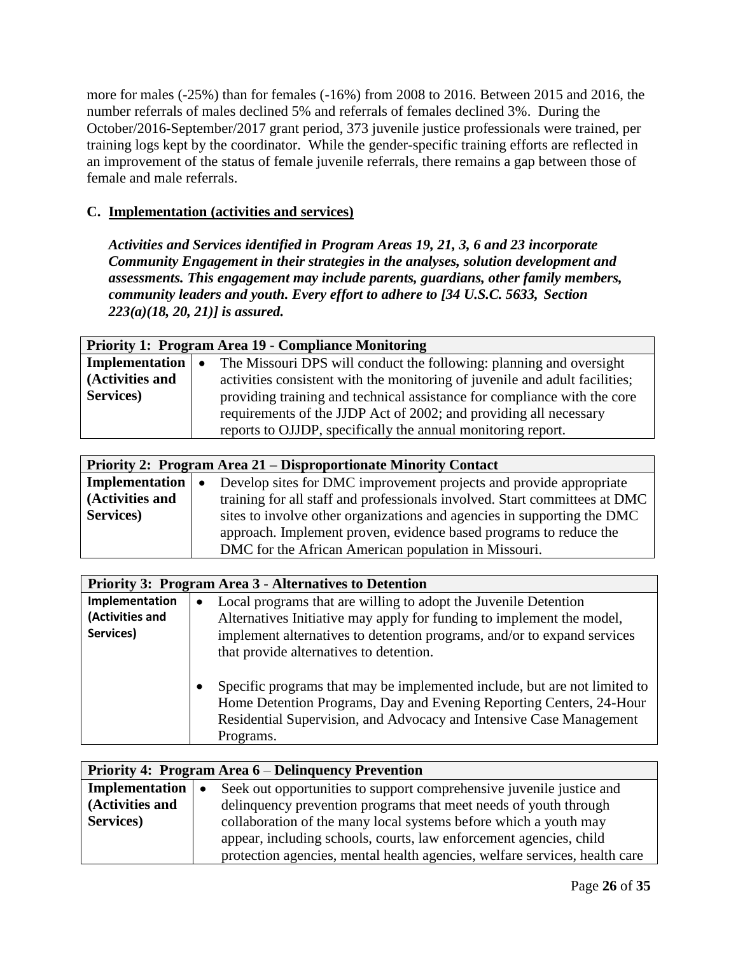more for males (-25%) than for females (-16%) from 2008 to 2016. Between 2015 and 2016, the number referrals of males declined 5% and referrals of females declined 3%. During the October/2016-September/2017 grant period, 373 juvenile justice professionals were trained, per training logs kept by the coordinator. While the gender-specific training efforts are reflected in an improvement of the status of female juvenile referrals, there remains a gap between those of female and male referrals.

# **C. Implementation (activities and services)**

*Activities and Services identified in Program Areas 19, 21, 3, 6 and 23 incorporate Community Engagement in their strategies in the analyses, solution development and assessments. This engagement may include parents, guardians, other family members, community leaders and youth. Every effort to adhere to [34 U.S.C. 5633, Section 223(a)(18, 20, 21)] is assured.* 

| <b>Priority 1: Program Area 19 - Compliance Monitoring</b> |                                                                             |  |  |  |  |  |  |
|------------------------------------------------------------|-----------------------------------------------------------------------------|--|--|--|--|--|--|
| Implementation $\vert \bullet \vert$                       | The Missouri DPS will conduct the following: planning and oversight         |  |  |  |  |  |  |
| (Activities and                                            | activities consistent with the monitoring of juvenile and adult facilities; |  |  |  |  |  |  |
| Services)                                                  | providing training and technical assistance for compliance with the core    |  |  |  |  |  |  |
|                                                            | requirements of the JJDP Act of 2002; and providing all necessary           |  |  |  |  |  |  |
|                                                            | reports to OJJDP, specifically the annual monitoring report.                |  |  |  |  |  |  |

| Priority 2: Program Area 21 – Disproportionate Minority Contact |                                                                                 |  |
|-----------------------------------------------------------------|---------------------------------------------------------------------------------|--|
| Implementation                                                  | Develop sites for DMC improvement projects and provide appropriate<br>$\bullet$ |  |
| (Activities and                                                 | training for all staff and professionals involved. Start committees at DMC      |  |
| Services)                                                       | sites to involve other organizations and agencies in supporting the DMC         |  |
|                                                                 | approach. Implement proven, evidence based programs to reduce the               |  |
|                                                                 | DMC for the African American population in Missouri.                            |  |

| <b>Priority 3: Program Area 3 - Alternatives to Detention</b> |                                                                                        |  |
|---------------------------------------------------------------|----------------------------------------------------------------------------------------|--|
| Implementation                                                | Local programs that are willing to adopt the Juvenile Detention<br>$\bullet$           |  |
| (Activities and                                               | Alternatives Initiative may apply for funding to implement the model,                  |  |
| Services)                                                     | implement alternatives to detention programs, and/or to expand services                |  |
|                                                               | that provide alternatives to detention.                                                |  |
|                                                               |                                                                                        |  |
|                                                               | Specific programs that may be implemented include, but are not limited to<br>$\bullet$ |  |
|                                                               | Home Detention Programs, Day and Evening Reporting Centers, 24-Hour                    |  |
|                                                               | Residential Supervision, and Advocacy and Intensive Case Management                    |  |
|                                                               | Programs.                                                                              |  |

| Priority 4: Program Area 6 – Delinquency Prevention |                                                                            |  |
|-----------------------------------------------------|----------------------------------------------------------------------------|--|
| Implementation $\vert \bullet \vert$                | Seek out opportunities to support comprehensive juvenile justice and       |  |
| (Activities and                                     | delinquency prevention programs that meet needs of youth through           |  |
| Services)                                           | collaboration of the many local systems before which a youth may           |  |
|                                                     | appear, including schools, courts, law enforcement agencies, child         |  |
|                                                     | protection agencies, mental health agencies, welfare services, health care |  |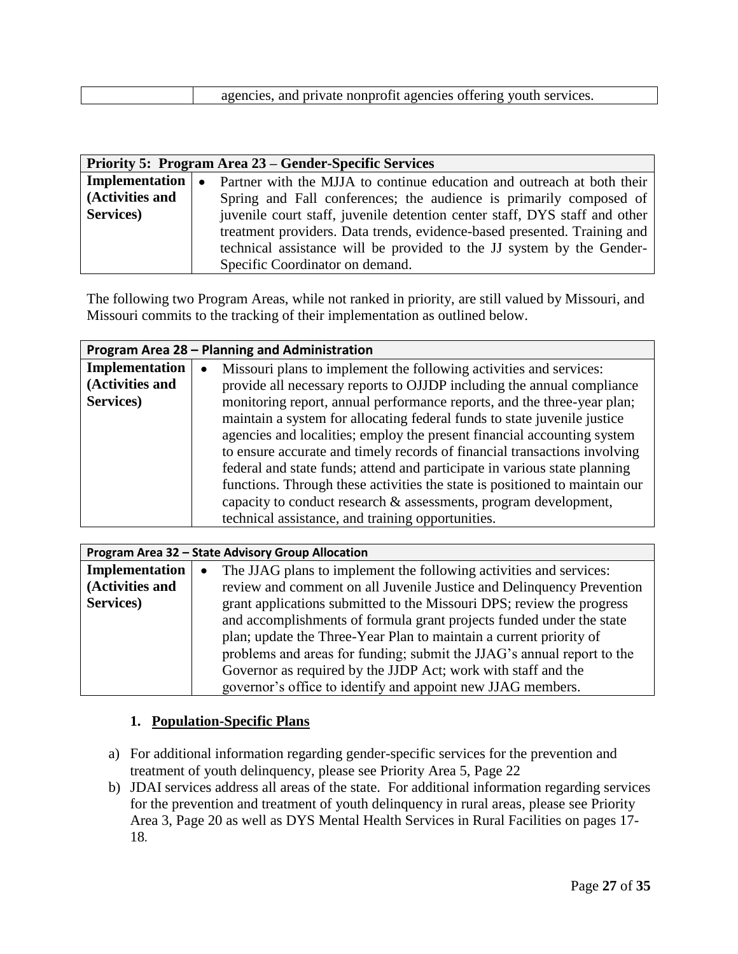| agencies, and private nonprofit agencies offering youth services. |
|-------------------------------------------------------------------|
|                                                                   |
|                                                                   |
|                                                                   |

| Priority 5: Program Area 23 – Gender-Specific Services |                                                                                                        |  |
|--------------------------------------------------------|--------------------------------------------------------------------------------------------------------|--|
|                                                        | <b>Implementation</b> $\bullet$ Partner with the MJJA to continue education and outreach at both their |  |
| (Activities and                                        | Spring and Fall conferences; the audience is primarily composed of                                     |  |
| Services)                                              | juvenile court staff, juvenile detention center staff, DYS staff and other                             |  |
|                                                        | treatment providers. Data trends, evidence-based presented. Training and                               |  |
|                                                        | technical assistance will be provided to the JJ system by the Gender-                                  |  |
|                                                        | Specific Coordinator on demand.                                                                        |  |

The following two Program Areas, while not ranked in priority, are still valued by Missouri, and Missouri commits to the tracking of their implementation as outlined below.

| Program Area 28 - Planning and Administration |                                                                             |  |
|-----------------------------------------------|-----------------------------------------------------------------------------|--|
| Implementation                                | Missouri plans to implement the following activities and services:          |  |
| (Activities and                               | provide all necessary reports to OJJDP including the annual compliance      |  |
| Services)                                     | monitoring report, annual performance reports, and the three-year plan;     |  |
|                                               | maintain a system for allocating federal funds to state juvenile justice    |  |
|                                               | agencies and localities; employ the present financial accounting system     |  |
|                                               | to ensure accurate and timely records of financial transactions involving   |  |
|                                               | federal and state funds; attend and participate in various state planning   |  |
|                                               | functions. Through these activities the state is positioned to maintain our |  |
|                                               | capacity to conduct research $\&$ assessments, program development,         |  |
|                                               | technical assistance, and training opportunities.                           |  |

| Program Area 32 - State Advisory Group Allocation |                                                                                 |  |
|---------------------------------------------------|---------------------------------------------------------------------------------|--|
| Implementation                                    | The JJAG plans to implement the following activities and services:<br>$\bullet$ |  |
| (Activities and                                   | review and comment on all Juvenile Justice and Delinquency Prevention           |  |
| Services)                                         | grant applications submitted to the Missouri DPS; review the progress           |  |
|                                                   | and accomplishments of formula grant projects funded under the state            |  |
|                                                   | plan; update the Three-Year Plan to maintain a current priority of              |  |
|                                                   | problems and areas for funding; submit the JJAG's annual report to the          |  |
|                                                   | Governor as required by the JJDP Act; work with staff and the                   |  |
|                                                   | governor's office to identify and appoint new JJAG members.                     |  |

#### **1. Population-Specific Plans**

- a) For additional information regarding gender-specific services for the prevention and treatment of youth delinquency, please see Priority Area 5, Page 22
- b) JDAI services address all areas of the state. For additional information regarding services for the prevention and treatment of youth delinquency in rural areas, please see Priority Area 3, Page 20 as well as DYS Mental Health Services in Rural Facilities on pages 17- 18*.*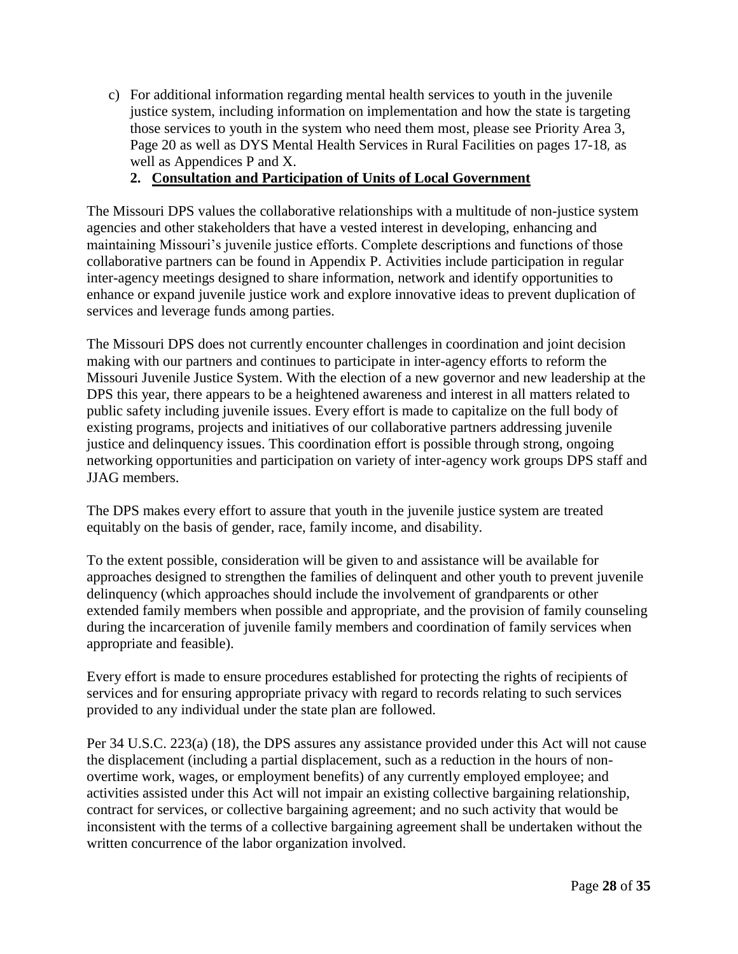c) For additional information regarding mental health services to youth in the juvenile justice system, including information on implementation and how the state is targeting those services to youth in the system who need them most, please see Priority Area 3, Page 20 as well as DYS Mental Health Services in Rural Facilities on pages 17-18*,* as well as Appendices P and X.

# **2. Consultation and Participation of Units of Local Government**

The Missouri DPS values the collaborative relationships with a multitude of non-justice system agencies and other stakeholders that have a vested interest in developing, enhancing and maintaining Missouri's juvenile justice efforts. Complete descriptions and functions of those collaborative partners can be found in Appendix P. Activities include participation in regular inter-agency meetings designed to share information, network and identify opportunities to enhance or expand juvenile justice work and explore innovative ideas to prevent duplication of services and leverage funds among parties.

The Missouri DPS does not currently encounter challenges in coordination and joint decision making with our partners and continues to participate in inter-agency efforts to reform the Missouri Juvenile Justice System. With the election of a new governor and new leadership at the DPS this year, there appears to be a heightened awareness and interest in all matters related to public safety including juvenile issues. Every effort is made to capitalize on the full body of existing programs, projects and initiatives of our collaborative partners addressing juvenile justice and delinquency issues. This coordination effort is possible through strong, ongoing networking opportunities and participation on variety of inter-agency work groups DPS staff and JJAG members.

The DPS makes every effort to assure that youth in the juvenile justice system are treated equitably on the basis of gender, race, family income, and disability.

To the extent possible, consideration will be given to and assistance will be available for approaches designed to strengthen the families of delinquent and other youth to prevent juvenile delinquency (which approaches should include the involvement of grandparents or other extended family members when possible and appropriate, and the provision of family counseling during the incarceration of juvenile family members and coordination of family services when appropriate and feasible).

Every effort is made to ensure procedures established for protecting the rights of recipients of services and for ensuring appropriate privacy with regard to records relating to such services provided to any individual under the state plan are followed.

Per 34 U.S.C. 223(a) (18), the DPS assures any assistance provided under this Act will not cause the displacement (including a partial displacement, such as a reduction in the hours of nonovertime work, wages, or employment benefits) of any currently employed employee; and activities assisted under this Act will not impair an existing collective bargaining relationship, contract for services, or collective bargaining agreement; and no such activity that would be inconsistent with the terms of a collective bargaining agreement shall be undertaken without the written concurrence of the labor organization involved.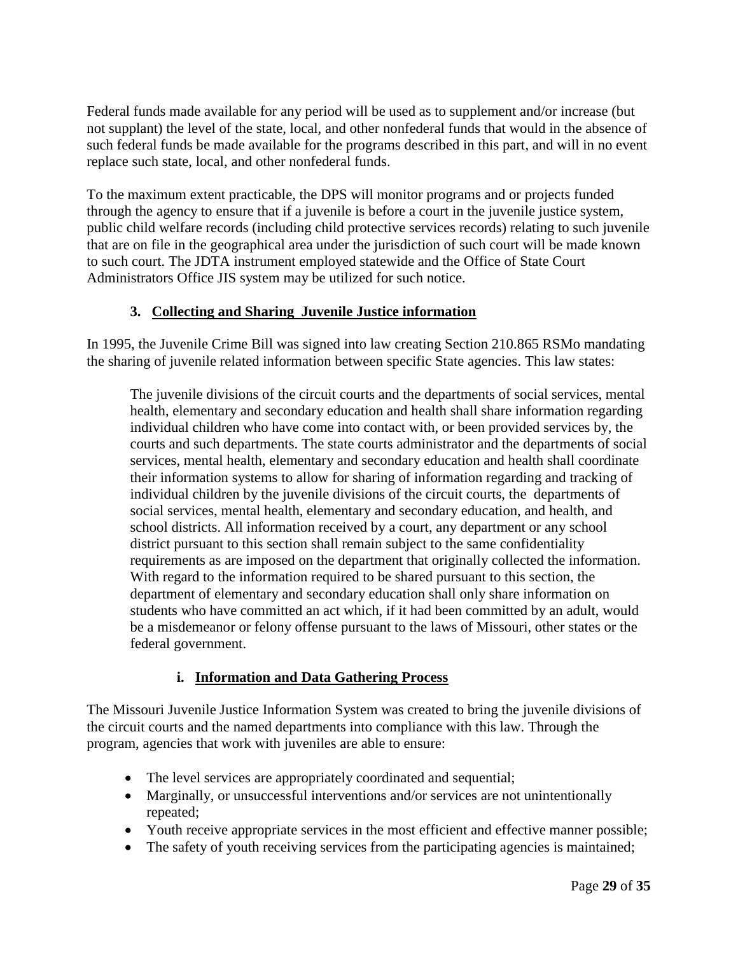Federal funds made available for any period will be used as to supplement and/or increase (but not supplant) the level of the state, local, and other nonfederal funds that would in the absence of such federal funds be made available for the programs described in this part, and will in no event replace such state, local, and other nonfederal funds.

To the maximum extent practicable, the DPS will monitor programs and or projects funded through the agency to ensure that if a juvenile is before a court in the juvenile justice system, public child welfare records (including child protective services records) relating to such juvenile that are on file in the geographical area under the jurisdiction of such court will be made known to such court. The JDTA instrument employed statewide and the Office of State Court Administrators Office JIS system may be utilized for such notice.

# **3. Collecting and Sharing Juvenile Justice information**

In 1995, the Juvenile Crime Bill was signed into law creating Section 210.865 RSMo mandating the sharing of juvenile related information between specific State agencies. This law states:

The juvenile divisions of the circuit courts and the departments of social services, mental health, elementary and secondary education and health shall share information regarding individual children who have come into contact with, or been provided services by, the courts and such departments. The state courts administrator and the departments of social services, mental health, elementary and secondary education and health shall coordinate their information systems to allow for sharing of information regarding and tracking of individual children by the juvenile divisions of the circuit courts, the departments of social services, mental health, elementary and secondary education, and health, and school districts. All information received by a court, any department or any school district pursuant to this section shall remain subject to the same confidentiality requirements as are imposed on the department that originally collected the information. With regard to the information required to be shared pursuant to this section, the department of elementary and secondary education shall only share information on students who have committed an act which, if it had been committed by an adult, would be a misdemeanor or felony offense pursuant to the laws of Missouri, other states or the federal government.

# **i. Information and Data Gathering Process**

The Missouri Juvenile Justice Information System was created to bring the juvenile divisions of the circuit courts and the named departments into compliance with this law. Through the program, agencies that work with juveniles are able to ensure:

- The level services are appropriately coordinated and sequential;
- Marginally, or unsuccessful interventions and/or services are not unintentionally repeated;
- Youth receive appropriate services in the most efficient and effective manner possible;
- The safety of youth receiving services from the participating agencies is maintained;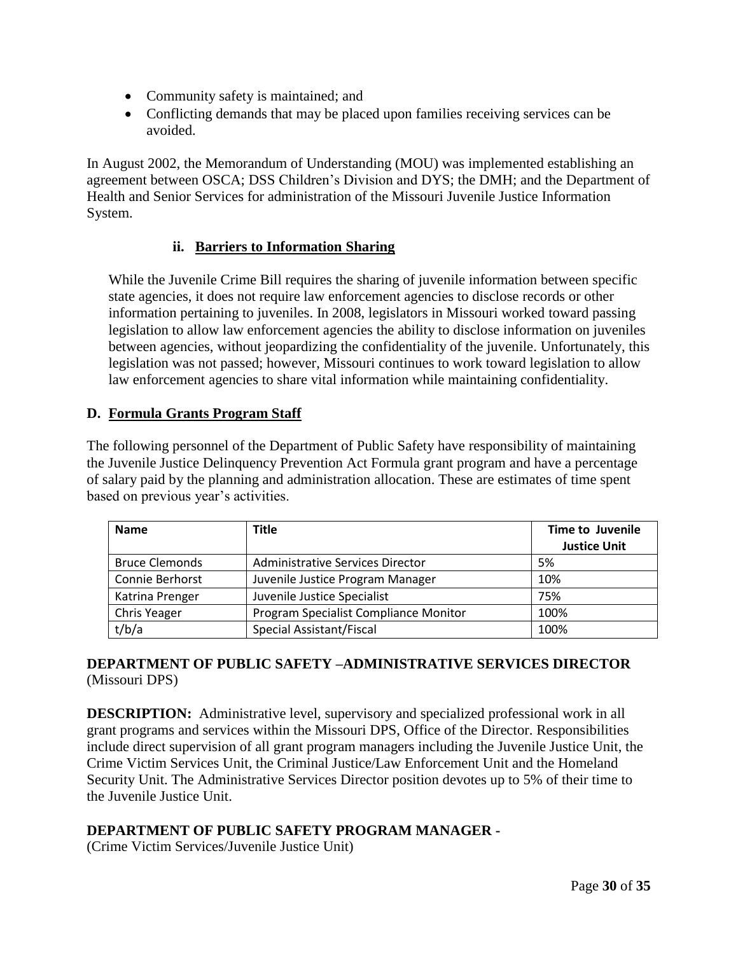- Community safety is maintained; and
- Conflicting demands that may be placed upon families receiving services can be avoided.

In August 2002, the Memorandum of Understanding (MOU) was implemented establishing an agreement between OSCA; DSS Children's Division and DYS; the DMH; and the Department of Health and Senior Services for administration of the Missouri Juvenile Justice Information System.

#### **ii. Barriers to Information Sharing**

While the Juvenile Crime Bill requires the sharing of juvenile information between specific state agencies, it does not require law enforcement agencies to disclose records or other information pertaining to juveniles. In 2008, legislators in Missouri worked toward passing legislation to allow law enforcement agencies the ability to disclose information on juveniles between agencies, without jeopardizing the confidentiality of the juvenile. Unfortunately, this legislation was not passed; however, Missouri continues to work toward legislation to allow law enforcement agencies to share vital information while maintaining confidentiality.

#### **D. Formula Grants Program Staff**

The following personnel of the Department of Public Safety have responsibility of maintaining the Juvenile Justice Delinquency Prevention Act Formula grant program and have a percentage of salary paid by the planning and administration allocation. These are estimates of time spent based on previous year's activities.

| <b>Name</b>           | <b>Title</b>                            | <b>Time to Juvenile</b><br><b>Justice Unit</b> |
|-----------------------|-----------------------------------------|------------------------------------------------|
| <b>Bruce Clemonds</b> | <b>Administrative Services Director</b> | 5%                                             |
| Connie Berhorst       | Juvenile Justice Program Manager        | 10%                                            |
| Katrina Prenger       | Juvenile Justice Specialist             | 75%                                            |
| Chris Yeager          | Program Specialist Compliance Monitor   | 100%                                           |
| t/b/a                 | Special Assistant/Fiscal                | 100%                                           |

#### **DEPARTMENT OF PUBLIC SAFETY –ADMINISTRATIVE SERVICES DIRECTOR** (Missouri DPS)

**DESCRIPTION:** Administrative level, supervisory and specialized professional work in all grant programs and services within the Missouri DPS, Office of the Director. Responsibilities include direct supervision of all grant program managers including the Juvenile Justice Unit, the Crime Victim Services Unit, the Criminal Justice/Law Enforcement Unit and the Homeland Security Unit. The Administrative Services Director position devotes up to 5% of their time to the Juvenile Justice Unit.

#### **DEPARTMENT OF PUBLIC SAFETY PROGRAM MANAGER -**

(Crime Victim Services/Juvenile Justice Unit)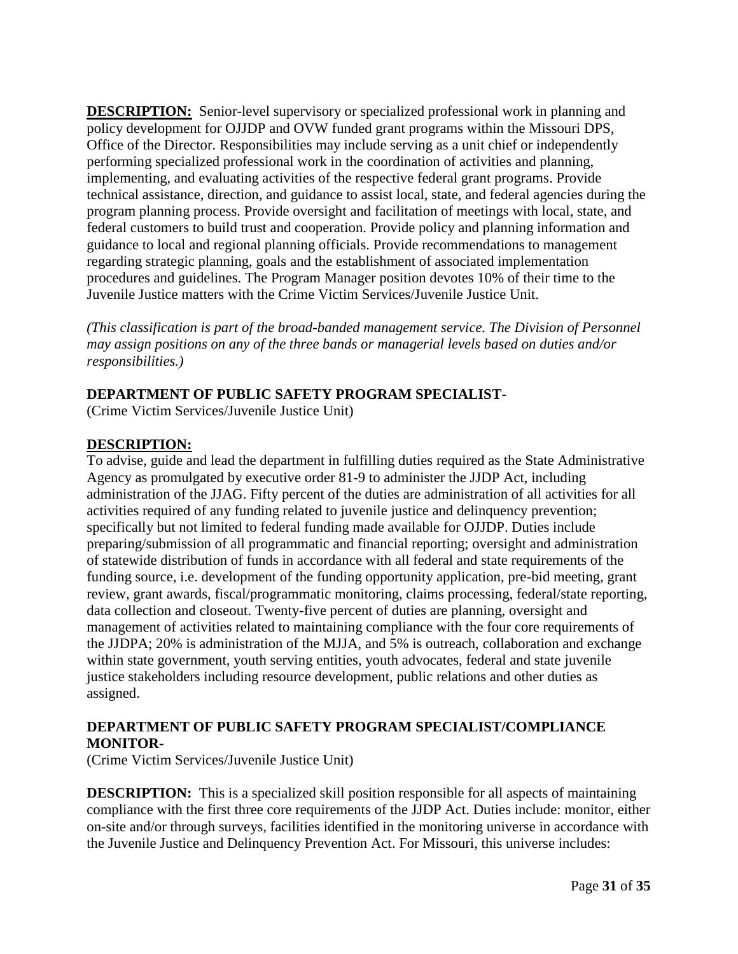**DESCRIPTION:** Senior-level supervisory or specialized professional work in planning and policy development for OJJDP and OVW funded grant programs within the Missouri DPS, Office of the Director. Responsibilities may include serving as a unit chief or independently performing specialized professional work in the coordination of activities and planning, implementing, and evaluating activities of the respective federal grant programs. Provide technical assistance, direction, and guidance to assist local, state, and federal agencies during the program planning process. Provide oversight and facilitation of meetings with local, state, and federal customers to build trust and cooperation. Provide policy and planning information and guidance to local and regional planning officials. Provide recommendations to management regarding strategic planning, goals and the establishment of associated implementation procedures and guidelines. The Program Manager position devotes 10% of their time to the Juvenile Justice matters with the Crime Victim Services/Juvenile Justice Unit.

*(This classification is part of the broad-banded management service. The Division of Personnel may assign positions on any of the three bands or managerial levels based on duties and/or responsibilities.)* 

#### **DEPARTMENT OF PUBLIC SAFETY PROGRAM SPECIALIST-**

(Crime Victim Services/Juvenile Justice Unit)

#### **DESCRIPTION:**

To advise, guide and lead the department in fulfilling duties required as the State Administrative Agency as promulgated by executive order 81-9 to administer the JJDP Act, including administration of the JJAG. Fifty percent of the duties are administration of all activities for all activities required of any funding related to juvenile justice and delinquency prevention; specifically but not limited to federal funding made available for OJJDP. Duties include preparing/submission of all programmatic and financial reporting; oversight and administration of statewide distribution of funds in accordance with all federal and state requirements of the funding source, i.e. development of the funding opportunity application, pre-bid meeting, grant review, grant awards, fiscal/programmatic monitoring, claims processing, federal/state reporting, data collection and closeout. Twenty-five percent of duties are planning, oversight and management of activities related to maintaining compliance with the four core requirements of the JJDPA; 20% is administration of the MJJA, and 5% is outreach, collaboration and exchange within state government, youth serving entities, youth advocates, federal and state juvenile justice stakeholders including resource development, public relations and other duties as assigned.

#### **DEPARTMENT OF PUBLIC SAFETY PROGRAM SPECIALIST/COMPLIANCE MONITOR-**

(Crime Victim Services/Juvenile Justice Unit)

**DESCRIPTION:** This is a specialized skill position responsible for all aspects of maintaining compliance with the first three core requirements of the JJDP Act. Duties include: monitor, either on-site and/or through surveys, facilities identified in the monitoring universe in accordance with the Juvenile Justice and Delinquency Prevention Act. For Missouri, this universe includes: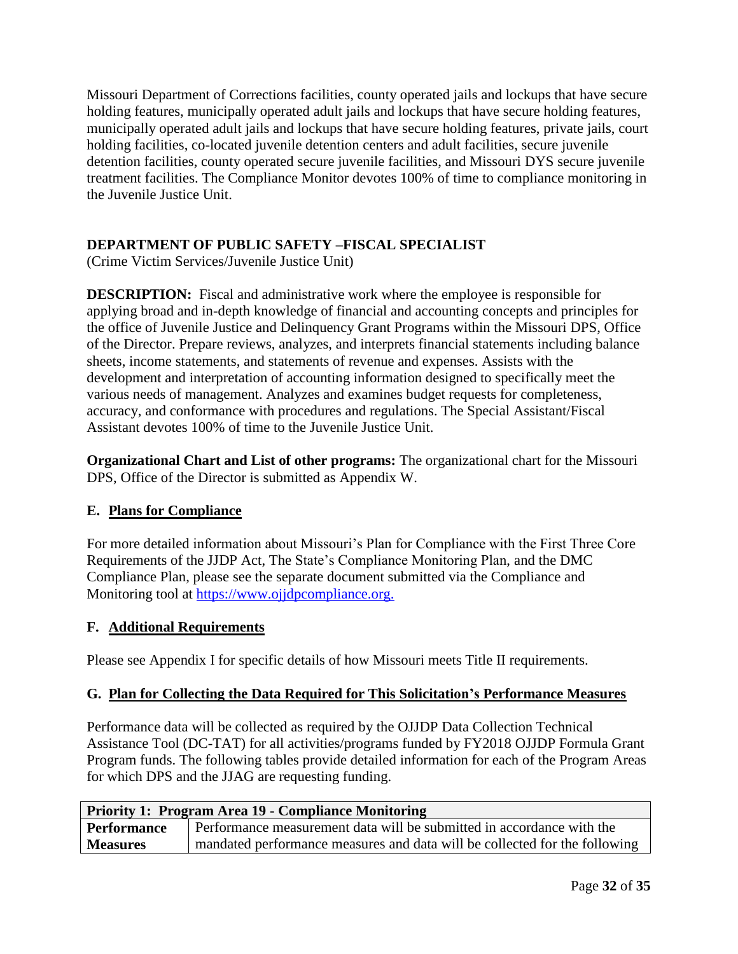Missouri Department of Corrections facilities, county operated jails and lockups that have secure holding features, municipally operated adult jails and lockups that have secure holding features, municipally operated adult jails and lockups that have secure holding features, private jails, court holding facilities, co-located juvenile detention centers and adult facilities, secure juvenile detention facilities, county operated secure juvenile facilities, and Missouri DYS secure juvenile treatment facilities. The Compliance Monitor devotes 100% of time to compliance monitoring in the Juvenile Justice Unit.

# **DEPARTMENT OF PUBLIC SAFETY –FISCAL SPECIALIST**

(Crime Victim Services/Juvenile Justice Unit)

**DESCRIPTION:** Fiscal and administrative work where the employee is responsible for applying broad and in-depth knowledge of financial and accounting concepts and principles for the office of Juvenile Justice and Delinquency Grant Programs within the Missouri DPS, Office of the Director. Prepare reviews, analyzes, and interprets financial statements including balance sheets, income statements, and statements of revenue and expenses. Assists with the development and interpretation of accounting information designed to specifically meet the various needs of management. Analyzes and examines budget requests for completeness, accuracy, and conformance with procedures and regulations. The Special Assistant/Fiscal Assistant devotes 100% of time to the Juvenile Justice Unit.

**Organizational Chart and List of other programs:** The organizational chart for the Missouri DPS, Office of the Director is submitted as Appendix W.

#### **E. Plans for Compliance**

For more detailed information about Missouri's Plan for Compliance with the First Three Core Requirements of the JJDP Act, The State's Compliance Monitoring Plan, and the DMC Compliance Plan, please see the separate document submitted via the Compliance and Monitoring tool at [https://www.ojjdpcompliance.org.](https://www.ojjdpcompliance.org/)

#### **F. Additional Requirements**

Please see Appendix I for specific details of how Missouri meets Title II requirements.

#### **G. Plan for Collecting the Data Required for This Solicitation's Performance Measures**

Performance data will be collected as required by the OJJDP Data Collection Technical Assistance Tool (DC-TAT) for all activities/programs funded by FY2018 OJJDP Formula Grant Program funds. The following tables provide detailed information for each of the Program Areas for which DPS and the JJAG are requesting funding.

| Priority 1: Program Area 19 - Compliance Monitoring |                                                                            |  |
|-----------------------------------------------------|----------------------------------------------------------------------------|--|
| Performance                                         | Performance measurement data will be submitted in accordance with the      |  |
| <b>Measures</b>                                     | mandated performance measures and data will be collected for the following |  |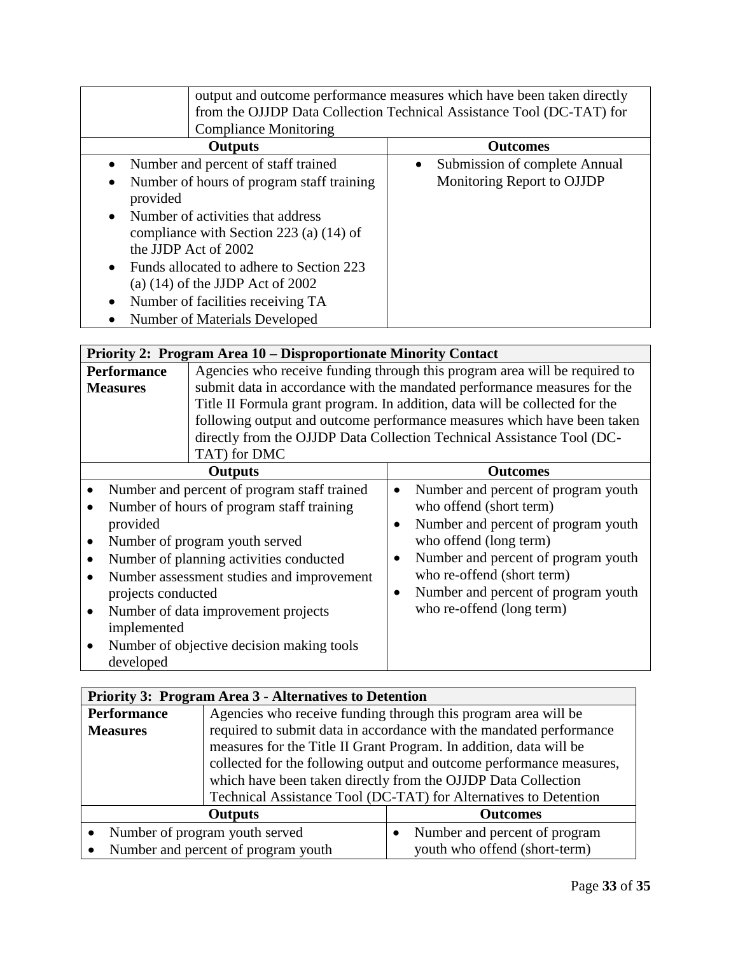| output and outcome performance measures which have been taken directly<br>from the OJJDP Data Collection Technical Assistance Tool (DC-TAT) for<br><b>Compliance Monitoring</b>                                                                                                                                                                                                                                                                     |                                                                          |  |
|-----------------------------------------------------------------------------------------------------------------------------------------------------------------------------------------------------------------------------------------------------------------------------------------------------------------------------------------------------------------------------------------------------------------------------------------------------|--------------------------------------------------------------------------|--|
| <b>Outputs</b>                                                                                                                                                                                                                                                                                                                                                                                                                                      | <b>Outcomes</b>                                                          |  |
| Number and percent of staff trained<br>$\bullet$<br>Number of hours of program staff training<br>$\bullet$<br>provided<br>Number of activities that address<br>$\bullet$<br>compliance with Section 223 (a) $(14)$ of<br>the JJDP Act of 2002<br>Funds allocated to adhere to Section 223<br>$\bullet$<br>(a) $(14)$ of the JJDP Act of 2002<br>Number of facilities receiving TA<br>$\bullet$<br><b>Number of Materials Developed</b><br>$\bullet$ | Submission of complete Annual<br>$\bullet$<br>Monitoring Report to OJJDP |  |

|                                             | Priority 2: Program Area 10 – Disproportionate Minority Contact |                                                                             |  |
|---------------------------------------------|-----------------------------------------------------------------|-----------------------------------------------------------------------------|--|
| <b>Performance</b>                          |                                                                 | Agencies who receive funding through this program area will be required to  |  |
| <b>Measures</b>                             |                                                                 | submit data in accordance with the mandated performance measures for the    |  |
|                                             |                                                                 | Title II Formula grant program. In addition, data will be collected for the |  |
|                                             |                                                                 | following output and outcome performance measures which have been taken     |  |
|                                             |                                                                 | directly from the OJJDP Data Collection Technical Assistance Tool (DC-      |  |
|                                             | TAT) for DMC                                                    |                                                                             |  |
|                                             | <b>Outputs</b>                                                  | <b>Outcomes</b>                                                             |  |
|                                             | Number and percent of program staff trained                     | Number and percent of program youth<br>$\bullet$                            |  |
|                                             | Number of hours of program staff training                       | who offend (short term)                                                     |  |
| provided                                    |                                                                 | Number and percent of program youth<br>$\bullet$                            |  |
| Number of program youth served<br>$\bullet$ |                                                                 | who offend (long term)                                                      |  |
| Number of planning activities conducted     |                                                                 | Number and percent of program youth<br>$\bullet$                            |  |
| Number assessment studies and improvement   |                                                                 | who re-offend (short term)                                                  |  |
| projects conducted                          |                                                                 | Number and percent of program youth<br>$\bullet$                            |  |
| Number of data improvement projects         |                                                                 | who re-offend (long term)                                                   |  |
| implemented                                 |                                                                 |                                                                             |  |
| Number of objective decision making tools   |                                                                 |                                                                             |  |
| developed                                   |                                                                 |                                                                             |  |

| <b>Priority 3: Program Area 3 - Alternatives to Detention</b> |                                                                      |                               |
|---------------------------------------------------------------|----------------------------------------------------------------------|-------------------------------|
| <b>Performance</b>                                            | Agencies who receive funding through this program area will be       |                               |
| <b>Measures</b>                                               | required to submit data in accordance with the mandated performance  |                               |
|                                                               | measures for the Title II Grant Program. In addition, data will be   |                               |
|                                                               | collected for the following output and outcome performance measures, |                               |
|                                                               | which have been taken directly from the OJJDP Data Collection        |                               |
|                                                               | Technical Assistance Tool (DC-TAT) for Alternatives to Detention     |                               |
| <b>Outputs</b><br><b>Outcomes</b>                             |                                                                      |                               |
| Number of program youth served                                |                                                                      | Number and percent of program |
| Number and percent of program youth                           |                                                                      | youth who offend (short-term) |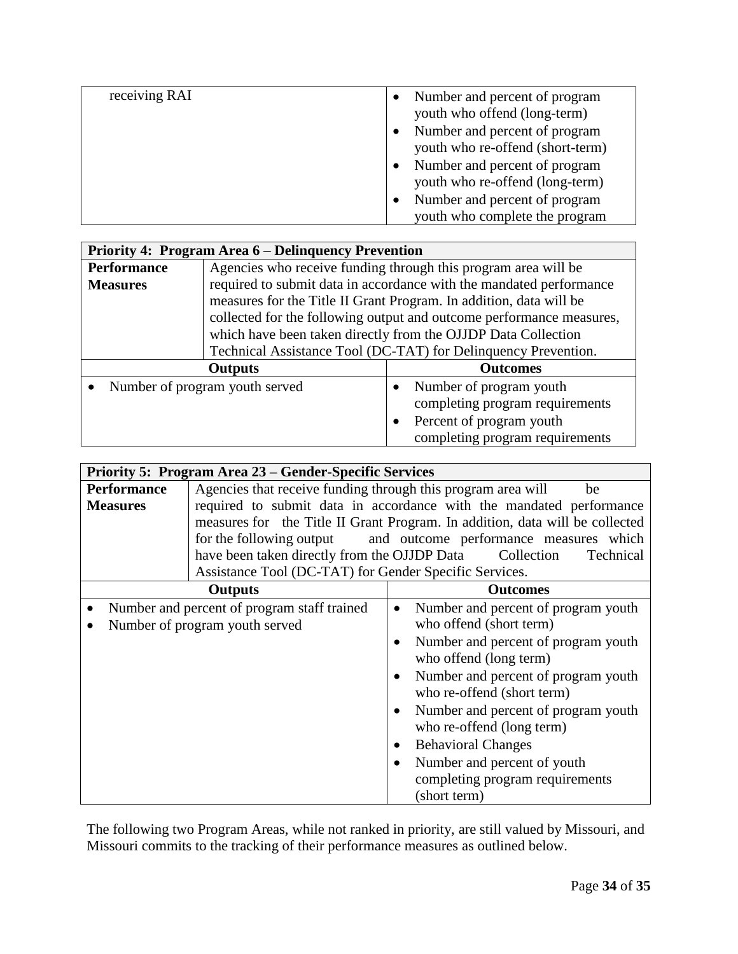| receiving RAI | Number and percent of program<br>youth who offend (long-term)     |
|---------------|-------------------------------------------------------------------|
|               | Number and percent of program<br>youth who re-offend (short-term) |
|               | Number and percent of program<br>youth who re-offend (long-term)  |
|               | Number and percent of program<br>youth who complete the program   |

| Priority 4: Program Area 6 – Delinquency Prevention |                                                                     |                                                                                                                                        |  |
|-----------------------------------------------------|---------------------------------------------------------------------|----------------------------------------------------------------------------------------------------------------------------------------|--|
| <b>Performance</b>                                  | Agencies who receive funding through this program area will be      |                                                                                                                                        |  |
| <b>Measures</b>                                     | required to submit data in accordance with the mandated performance |                                                                                                                                        |  |
|                                                     | measures for the Title II Grant Program. In addition, data will be  |                                                                                                                                        |  |
|                                                     |                                                                     | collected for the following output and outcome performance measures,                                                                   |  |
|                                                     | which have been taken directly from the OJJDP Data Collection       |                                                                                                                                        |  |
|                                                     | Technical Assistance Tool (DC-TAT) for Delinquency Prevention.      |                                                                                                                                        |  |
|                                                     | <b>Outputs</b>                                                      | <b>Outcomes</b>                                                                                                                        |  |
|                                                     | Number of program youth served                                      | Number of program youth<br>completing program requirements<br>Percent of program youth<br>$\bullet$<br>completing program requirements |  |

| Priority 5: Program Area 23 – Gender-Specific Services |                                                                              |                                                  |  |  |
|--------------------------------------------------------|------------------------------------------------------------------------------|--------------------------------------------------|--|--|
| <b>Performance</b>                                     | Agencies that receive funding through this program area will<br>be           |                                                  |  |  |
| <b>Measures</b>                                        | required to submit data in accordance with the mandated performance          |                                                  |  |  |
|                                                        | measures for the Title II Grant Program. In addition, data will be collected |                                                  |  |  |
|                                                        | for the following output and outcome performance measures which              |                                                  |  |  |
|                                                        | have been taken directly from the OJJDP Data                                 | Collection<br>Technical                          |  |  |
|                                                        | Assistance Tool (DC-TAT) for Gender Specific Services.                       |                                                  |  |  |
|                                                        | <b>Outputs</b>                                                               | <b>Outcomes</b>                                  |  |  |
|                                                        | Number and percent of program staff trained                                  | Number and percent of program youth<br>$\bullet$ |  |  |
| Number of program youth served                         |                                                                              | who offend (short term)                          |  |  |
|                                                        |                                                                              | Number and percent of program youth              |  |  |
|                                                        |                                                                              | who offend (long term)                           |  |  |
|                                                        |                                                                              | Number and percent of program youth              |  |  |
|                                                        |                                                                              | who re-offend (short term)                       |  |  |
|                                                        |                                                                              | Number and percent of program youth<br>$\bullet$ |  |  |
|                                                        |                                                                              | who re-offend (long term)                        |  |  |
|                                                        |                                                                              | <b>Behavioral Changes</b><br>$\bullet$           |  |  |
|                                                        |                                                                              | Number and percent of youth<br>$\bullet$         |  |  |
|                                                        |                                                                              | completing program requirements                  |  |  |
|                                                        |                                                                              | (short term)                                     |  |  |

The following two Program Areas, while not ranked in priority, are still valued by Missouri, and Missouri commits to the tracking of their performance measures as outlined below.